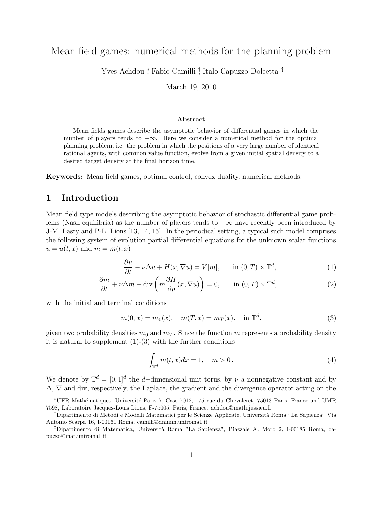# Mean field games: numerical methods for the planning problem

Yves Achdou <sup>∗</sup> , Fabio Camilli † , Italo Capuzzo-Dolcetta ‡

March 19, 2010

#### Abstract

Mean fields games describe the asymptotic behavior of differential games in which the number of players tends to  $+\infty$ . Here we consider a numerical method for the optimal planning problem, i.e. the problem in which the positions of a very large number of identical rational agents, with common value function, evolve from a given initial spatial density to a desired target density at the final horizon time.

Keywords: Mean field games, optimal control, convex duality, numerical methods.

## 1 Introduction

Mean field type models describing the asymptotic behavior of stochastic differential game problems (Nash equilibria) as the number of players tends to  $+\infty$  have recently been introduced by J-M. Lasry and P-L. Lions [13, 14, 15]. In the periodical setting, a typical such model comprises the following system of evolution partial differential equations for the unknown scalar functions  $u = u(t, x)$  and  $m = m(t, x)$ 

$$
\frac{\partial u}{\partial t} - \nu \Delta u + H(x, \nabla u) = V[m], \quad \text{in } (0, T) \times \mathbb{T}^d,
$$
 (1)

$$
\frac{\partial m}{\partial t} + \nu \Delta m + \text{div}\left(m \frac{\partial H}{\partial p}(x, \nabla u)\right) = 0, \quad \text{in } (0, T) \times \mathbb{T}^d,
$$
\n(2)

with the initial and terminal conditions

$$
m(0, x) = m_0(x), \quad m(T, x) = m_T(x), \quad \text{in } \mathbb{T}^d,
$$
 (3)

given two probability densities  $m_0$  and  $m_T$ . Since the function m represents a probability density it is natural to supplement  $(1)-(3)$  with the further conditions

$$
\int_{\mathbb{T}^d} m(t, x) dx = 1, \quad m > 0.
$$
\n<sup>(4)</sup>

We denote by  $\mathbb{T}^d = [0,1]^d$  the d-dimensional unit torus, by  $\nu$  a nonnegative constant and by ∆, ∇ and div, respectively, the Laplace, the gradient and the divergence operator acting on the

<sup>∗</sup>UFR Math´ematiques, Universit´e Paris 7, Case 7012, 175 rue du Chevaleret, 75013 Paris, France and UMR 7598, Laboratoire Jacques-Louis Lions, F-75005, Paris, France. achdou@math.jussieu.fr

<sup>†</sup>Dipartimento di Metodi e Modelli Matematici per le Scienze Applicate, Universit`a Roma "La Sapienza" Via Antonio Scarpa 16, I-00161 Roma, camilli@dmmm.uniroma1.it

<sup>‡</sup>Dipartimento di Matematica, Universit`a Roma "La Sapienza", Piazzale A. Moro 2, I-00185 Roma, capuzzo@mat.uniroma1.it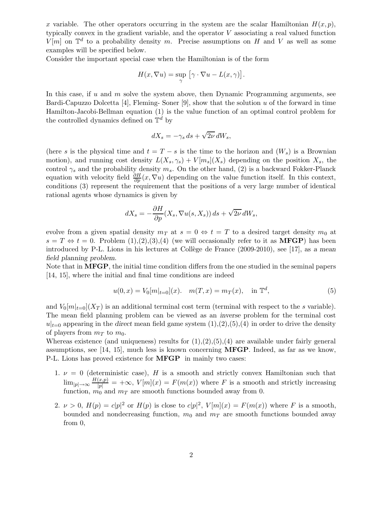x variable. The other operators occurring in the system are the scalar Hamiltonian  $H(x, p)$ , typically convex in the gradient variable, and the operator V associating a real valued function  $V[m]$  on  $\mathbb{T}^d$  to a probability density m. Precise assumptions on H and V as well as some examples will be specified below.

Consider the important special case when the Hamiltonian is of the form

$$
H(x, \nabla u) = \sup_{\gamma} \left[ \gamma \cdot \nabla u - L(x, \gamma) \right].
$$

In this case, if  $u$  and  $m$  solve the system above, then Dynamic Programming arguments, see Bardi-Capuzzo Dolcetta [4], Fleming- Soner [9], show that the solution  $u$  of the forward in time Hamilton-Jacobi-Bellman equation (1) is the value function of an optimal control problem for the controlled dynamics defined on  $\mathbb{T}^d$  by

$$
dX_s = -\gamma_s ds + \sqrt{2\nu} dW_s,
$$

(here s is the physical time and  $t = T - s$  is the time to the horizon and  $(W_s)$  is a Brownian motion), and running cost density  $L(X_s, \gamma_s) + V[m_s](X_s)$  depending on the position  $X_s$ , the control  $\gamma_s$  and the probability density  $m_s$ . On the other hand, (2) is a backward Fokker-Planck equation with velocity field  $\frac{\partial H}{\partial p}(x,\nabla u)$  depending on the value function itself. In this context, conditions (3) represent the requirement that the positions of a very large number of identical rational agents whose dynamics is given by

$$
dX_s = -\frac{\partial H}{\partial p}(X_s, \nabla u(s, X_s)) ds + \sqrt{2\nu} dW_s,
$$

evolve from a given spatial density  $m<sub>T</sub>$  at  $s = 0 \Leftrightarrow t = T$  to a desired target density  $m<sub>0</sub>$  at  $s = T \Leftrightarrow t = 0$ . Problem  $(1),(2),(3),(4)$  (we will occasionally refer to it as **MFGP**) has been introduced by P-L. Lions in his lectures at Collège de France  $(2009-2010)$ , see [17], as a mean field planning problem.

Note that in **MFGP**, the initial time condition differs from the one studied in the seminal papers [14, 15], where the initial and final time conditions are indeed

$$
u(0,x) = V_0[m|_{t=0}](x). \quad m(T,x) = m_T(x), \quad \text{in } \mathbb{T}^d,
$$
 (5)

and  $V_0[m]_{t=0}$  is an additional terminal cost term (terminal with respect to the s variable). The mean field planning problem can be viewed as an inverse problem for the terminal cost  $u|_{t=0}$  appearing in the direct mean field game system  $(1),(2),(5),(4)$  in order to drive the density of players from  $m<sub>T</sub>$  to  $m<sub>0</sub>$ .

Whereas existence (and uniqueness) results for  $(1), (2), (5), (4)$  are available under fairly general assumptions, see [14, 15], much less is known concerning  $MFGP$ . Indeed, as far as we know, P-L. Lions has proved existence for MFGP in mainly two cases:

- 1.  $\nu = 0$  (deterministic case), H is a smooth and strictly convex Hamiltonian such that  $\lim_{|p| \to \infty} \frac{H(x,p)}{|p|} = +\infty$ ,  $V[m](x) = F(m(x))$  where F is a smooth and strictly increasing function,  $m_0$  and  $m_T$  are smooth functions bounded away from 0.
- 2.  $\nu > 0$ ,  $H(p) = c|p|^2$  or  $H(p)$  is close to  $c|p|^2$ ,  $V[m](x) = F(m(x))$  where F is a smooth, bounded and nondecreasing function,  $m_0$  and  $m_T$  are smooth functions bounded away from 0,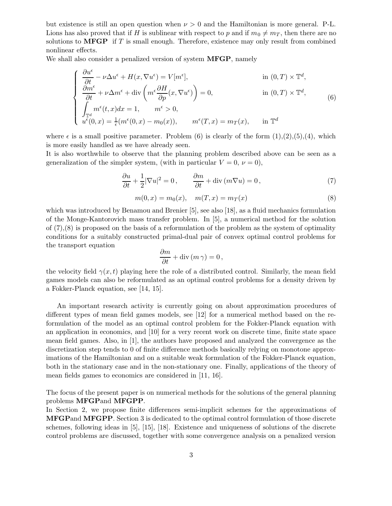but existence is still an open question when  $\nu > 0$  and the Hamiltonian is more general. P-L. Lions has also proved that if H is sublinear with respect to p and if  $m_0 \neq m_T$ , then there are no solutions to  $MFGP$  if T is small enough. Therefore, existence may only result from combined nonlinear effects.

We shall also consider a penalized version of system **MFGP**, namely

$$
\begin{cases}\n\frac{\partial u^{\epsilon}}{\partial t} - \nu \Delta u^{\epsilon} + H(x, \nabla u^{\epsilon}) = V[m^{\epsilon}], & \text{in } (0, T) \times \mathbb{T}^{d}, \\
\frac{\partial m^{\epsilon}}{\partial t} + \nu \Delta m^{\epsilon} + \text{div}\left(m^{\epsilon} \frac{\partial H}{\partial p}(x, \nabla u^{\epsilon})\right) = 0, & \text{in } (0, T) \times \mathbb{T}^{d}, \\
\int_{\mathbb{T}^{d}} m^{\epsilon}(t, x) dx = 1, \qquad m^{\epsilon} > 0, \\
u^{\epsilon}(0, x) = \frac{1}{\epsilon}(m^{\epsilon}(0, x) - m_{0}(x)), \qquad m^{\epsilon}(T, x) = m_{T}(x), & \text{in } \mathbb{T}^{d}\n\end{cases}
$$
\n(6)

where  $\epsilon$  is a small positive parameter. Problem (6) is clearly of the form  $(1),(2),(5),(4)$ , which is more easily handled as we have already seen.

It is also worthwhile to observe that the planning problem described above can be seen as a generalization of the simpler system, (with in particular  $V = 0, \nu = 0$ ),

$$
\frac{\partial u}{\partial t} + \frac{1}{2} |\nabla u|^2 = 0, \qquad \frac{\partial m}{\partial t} + \text{div} \left( m \nabla u \right) = 0, \tag{7}
$$

$$
m(0, x) = m_0(x), \quad m(T, x) = m_T(x)
$$
\n(8)

which was introduced by Benamou and Brenier [5], see also [18], as a fluid mechanics formulation of the Monge-Kantorovich mass transfer problem. In [5], a numerical method for the solution of  $(7),(8)$  is proposed on the basis of a reformulation of the problem as the system of optimality conditions for a suitably constructed primal-dual pair of convex optimal control problems for the transport equation

$$
\frac{\partial m}{\partial t} + \text{div}\,(m\,\gamma) = 0\,,
$$

the velocity field  $\gamma(x,t)$  playing here the role of a distributed control. Similarly, the mean field games models can also be reformulated as an optimal control problems for a density driven by a Fokker-Planck equation, see [14, 15].

An important research activity is currently going on about approximation procedures of different types of mean field games models, see [12] for a numerical method based on the reformulation of the model as an optimal control problem for the Fokker-Planck equation with an application in economics, and [10] for a very recent work on discrete time, finite state space mean field games. Also, in [1], the authors have proposed and analyzed the convergence as the discretization step tends to 0 of finite difference methods basically relying on monotone approximations of the Hamiltonian and on a suitable weak formulation of the Fokker-Planck equation, both in the stationary case and in the non-stationary one. Finally, applications of the theory of mean fields games to economics are considered in [11, 16].

The focus of the present paper is on numerical methods for the solutions of the general planning problems MFGPand MFGPP.

In Section 2, we propose finite differences semi-implicit schemes for the approximations of MFGPand MFGPP. Section 3 is dedicated to the optimal control formulation of those discrete schemes, following ideas in [5], [15], [18]. Existence and uniqueness of solutions of the discrete control problems are discussed, together with some convergence analysis on a penalized version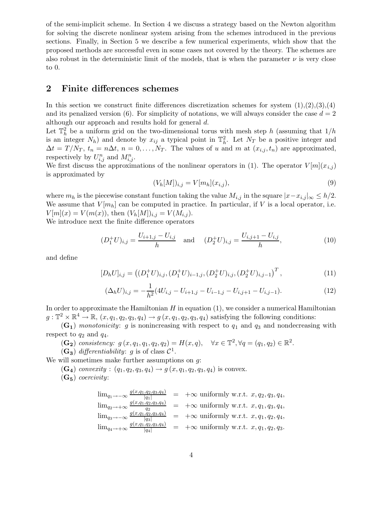of the semi-implicit scheme. In Section 4 we discuss a strategy based on the Newton algorithm for solving the discrete nonlinear system arising from the schemes introduced in the previous sections. Finally, in Section 5 we describe a few numerical experiments, which show that the proposed methods are successful even in some cases not covered by the theory. The schemes are also robust in the deterministic limit of the models, that is when the parameter  $\nu$  is very close to 0.

## 2 Finite differences schemes

In this section we construct finite differences discretization schemes for system  $(1),(2),(3),(4)$ and its penalized version (6). For simplicity of notations, we will always consider the case  $d = 2$ although our approach and results hold for general d.

Let  $\mathbb{T}_h^2$  be a uniform grid on the two-dimensional torus with mesh step h (assuming that  $1/h$ is an integer  $N_h$ ) and denote by  $x_{ij}$  a typical point in  $\mathbb{T}_h^2$ . Let  $N_T$  be a positive integer and  $\Delta t = T/N_T$ ,  $t_n = n\Delta t$ ,  $n = 0, \ldots, N_T$ . The values of u and m at  $(x_{i,j}, t_n)$  are approximated, respectively by  $U_{i,j}^n$  and  $M_{i,j}^n$ .

We first discuss the approximations of the nonlinear operators in (1). The operator  $V[m](x_{i,j})$ is approximated by

$$
(V_h[M])_{i,j} = V[m_h](x_{i,j}),
$$
\n(9)

where  $m_h$  is the piecewise constant function taking the value  $M_{i,j}$  in the square  $|x-x_{i,j}|_{\infty} \leq h/2$ . We assume that  $V[m_h]$  can be computed in practice. In particular, if V is a local operator, i.e.  $V[m](x) = V(m(x))$ , then  $(V_h[M])_{i,j} = V(M_{i,j})$ .

We introduce next the finite difference operators

$$
(D_1^+ U)_{i,j} = \frac{U_{i+1,j} - U_{i,j}}{h} \quad \text{and} \quad (D_2^+ U)_{i,j} = \frac{U_{i,j+1} - U_{i,j}}{h},\tag{10}
$$

and define

$$
[D_h U]_{i,j} = ((D_1^+ U)_{i,j}, (D_1^+ U)_{i-1,j}, (D_2^+ U)_{i,j}, (D_2^+ U)_{i,j-1})^T,
$$
\n(11)

$$
(\Delta_h U)_{i,j} = -\frac{1}{h^2} (4U_{i,j} - U_{i+1,j} - U_{i-1,j} - U_{i,j+1} - U_{i,j-1}).
$$
\n(12)

In order to approximate the Hamiltonian  $H$  in equation  $(1)$ , we consider a numerical Hamiltonian  $g: \mathbb{T}^2 \times \mathbb{R}^4 \to \mathbb{R}, (x, q_1, q_2, q_3, q_4) \to g(x, q_1, q_2, q_3, q_4)$  satisfying the following conditions:

 $(G_1)$  monotonicity: g is nonincreasing with respect to  $q_1$  and  $q_3$  and nondecreasing with respect to  $q_2$  and  $q_4$ .

- $(G_2)$  consistency:  $g(x, q_1, q_1, q_2, q_2) = H(x, q), \quad \forall x \in \mathbb{T}^2, \forall q = (q_1, q_2) \in \mathbb{R}^2.$
- $(G_3)$  differentiability: g is of class  $C^1$ .

We will sometimes make further assumptions on  $q$ :

 $(G_4)$  convexity :  $(q_1, q_2, q_3, q_4) \rightarrow g(x, q_1, q_2, q_3, q_4)$  is convex.

 $(G_5)$  coercivity:

$$
\lim_{q_1 \to \infty} \frac{g(x,q_1,q_2,q_3,q_4)}{|q_1|} = +\infty \text{ uniformly w.r.t. } x, q_2, q_3, q_4,
$$
  
\n
$$
\lim_{q_2 \to +\infty} \frac{g(x,q_1,q_2,q_3,q_4)}{q_2}
$$
\n
$$
= +\infty \text{ uniformly w.r.t. } x, q_1, q_3, q_4,
$$
  
\n
$$
\lim_{q_3 \to \infty} \frac{g(x,q_1,q_2,q_3,q_4)}{|q_3|} = +\infty \text{ uniformly w.r.t. } x, q_1, q_2, q_4,
$$
  
\n
$$
\lim_{q_4 \to +\infty} \frac{g(x,q_1,q_2,q_3,q_4)}{|q_4|} = +\infty \text{ uniformly w.r.t. } x, q_1, q_2, q_3.
$$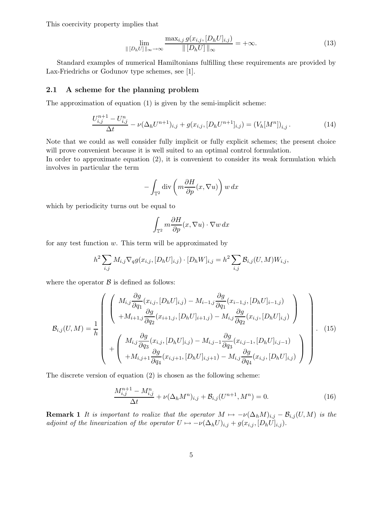This coercivity property implies that

$$
\lim_{\| [D_h U] \|_{\infty} \to \infty} \frac{\max_{i,j} g(x_{i,j}, [D_h U]_{i,j})}{\| [D_h U] \|_{\infty}} = +\infty.
$$
\n(13)

Standard examples of numerical Hamiltonians fulfilling these requirements are provided by Lax-Friedrichs or Godunov type schemes, see [1].

#### 2.1 A scheme for the planning problem

The approximation of equation (1) is given by the semi-implicit scheme:

$$
\frac{U_{i,j}^{n+1} - U_{i,j}^n}{\Delta t} - \nu (\Delta_h U^{n+1})_{i,j} + g(x_{i,j}, [D_h U^{n+1}]_{i,j}) = (V_h [M^n])_{i,j}.
$$
\n(14)

Note that we could as well consider fully implicit or fully explicit schemes; the present choice will prove convenient because it is well suited to an optimal control formulation.

In order to approximate equation (2), it is convenient to consider its weak formulation which involves in particular the term

$$
-\int_{\mathbb{T}^2} \operatorname{div}\left(m\frac{\partial H}{\partial p}(x,\nabla u)\right)w\,dx
$$

which by periodicity turns out be equal to

$$
\int_{\mathbb{T}^2} m \frac{\partial H}{\partial p}(x, \nabla u) \cdot \nabla w \, dx
$$

for any test function  $w$ . This term will be approximated by

$$
h^{2} \sum_{i,j} M_{i,j} \nabla_{q} g(x_{i,j}, [D_{h} U]_{i,j}) \cdot [D_{h} W]_{i,j} = h^{2} \sum_{i,j} \mathcal{B}_{i,j}(U, M) W_{i,j},
$$

where the operator  $\beta$  is defined as follows:

$$
\mathcal{B}_{i,j}(U,M) = \frac{1}{h} \left( \begin{array}{c} \left( M_{i,j} \frac{\partial g}{\partial q_1}(x_{i,j}, [D_h U]_{i,j}) - M_{i-1,j} \frac{\partial g}{\partial q_1}(x_{i-1,j}, [D_h U]_{i-1,j}) \right. \\ \left. + M_{i+1,j} \frac{\partial g}{\partial q_2}(x_{i+1,j}, [D_h U]_{i+1,j}) - M_{i,j} \frac{\partial g}{\partial q_2}(x_{i,j}, [D_h U]_{i,j}) \right. \\ \left. + \left( M_{i,j} \frac{\partial g}{\partial q_3}(x_{i,j}, [D_h U]_{i,j}) - M_{i,j-1} \frac{\partial g}{\partial q_3}(x_{i,j-1}, [D_h U]_{i,j-1}) \right. \\ \left. + M_{i,j+1} \frac{\partial g}{\partial q_4}(x_{i,j+1}, [D_h U]_{i,j+1}) - M_{i,j} \frac{\partial g}{\partial q_4}(x_{i,j}, [D_h U]_{i,j}) \right) \right) \end{array} \right). \tag{15}
$$

The discrete version of equation (2) is chosen as the following scheme:

$$
\frac{M_{i,j}^{n+1} - M_{i,j}^n}{\Delta t} + \nu (\Delta_h M^n)_{i,j} + \mathcal{B}_{i,j}(U^{n+1}, M^n) = 0.
$$
\n(16)

**Remark 1** It is important to realize that the operator  $M \mapsto -\nu(\Delta_h M)_{i,j} - \mathcal{B}_{i,j}(U, M)$  is the adjoint of the linearization of the operator  $U \mapsto -\nu(\Delta_h U)_{i,j} + g(x_{i,j}, [D_h U]_{i,j}).$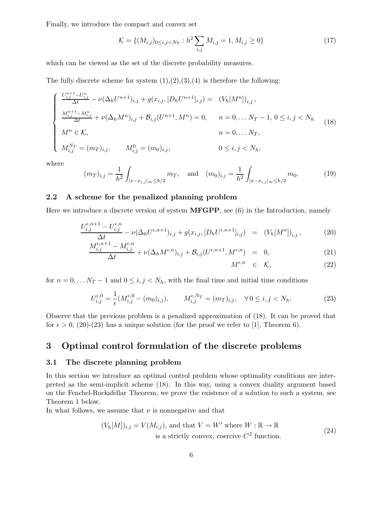Finally, we introduce the compact and convex set

$$
\mathcal{K} = \{ (M_{i,j})_{0 \le i,j < N_T} : h^2 \sum_{i,j} M_{i,j} = 1, M_{i,j} \ge 0 \} \tag{17}
$$

which can be viewed as the set of the discrete probability measures.

The fully discrete scheme for system  $(1), (2), (3), (4)$  is therefore the following:

$$
\begin{cases}\n\frac{U_{i,j}^{n+1} - U_{i,j}^n}{\Delta t} - \nu (\Delta_h U^{n+1})_{i,j} + g(x_{i,j}, [D_h U^{n+1}]_{i,j}) = (V_h [M^n])_{i,j}, \\
\frac{M_{i,j}^{n+1} - M_{i,j}^n}{\Delta t} + \nu (\Delta_h M^n)_{i,j} + \mathcal{B}_{i,j} (U^{n+1}, M^n) = 0, \quad n = 0, \dots N_T - 1, 0 \le i, j < N_h \\
M^n \in \mathcal{K}, \quad n = 0, \dots N_T, \\
M_{i,j}^{N_T} = (m_T)_{i,j}, \quad M_{i,j}^0 = (m_0)_{i,j}, \quad 0 \le i, j < N_h,\n\end{cases} (18)
$$

where

$$
(m_T)_{i,j} = \frac{1}{h^2} \int_{|x - x_{i,j}|_\infty \le h/2} m_T, \text{ and } (m_0)_{i,j} = \frac{1}{h^2} \int_{|x - x_{i,j}|_\infty \le h/2} m_0.
$$
 (19)

### 2.2 A scheme for the penalized planning problem

Here we introduce a discrete version of system **MFGPP**, see (6) in the Introduction, namely

$$
\frac{U_{i,j}^{\epsilon,n+1} - U_{i,j}^{\epsilon,n}}{\Delta t} - \nu (\Delta_h U^{\epsilon,n+1})_{i,j} + g(x_{i,j}, [D_h U^{\epsilon,n+1}]_{i,j}) = (V_h [M^n])_{i,j},
$$
(20)

$$
\frac{M_{i,j}^{\epsilon,n+1} - M_{i,j}^{\epsilon,n}}{\Delta t} + \nu (\Delta_h M^{\epsilon,n})_{i,j} + \mathcal{B}_{i,j}(U^{\epsilon,n+1}, M^{\epsilon,n}) = 0,
$$
\n(21)

$$
M^{\epsilon,n} \quad \in \quad \mathcal{K}, \tag{22}
$$

for  $n = 0, \ldots N_T - 1$  and  $0 \le i, j < N_h$ , with the final time and initial time conditions

$$
U_{i,j}^{\epsilon,0} = \frac{1}{\epsilon} (M_{i,j}^{\epsilon,0} - (m_0)_{i,j}), \qquad M_{i,j}^{\epsilon,N_T} = (m_T)_{i,j}, \quad \forall \, 0 \le i, j < N_h. \tag{23}
$$

Observe that the previous problem is a penalized approximation of (18). It can be proved that for  $\epsilon > 0$ , (20)-(23) has a unique solution (for the proof we refer to [1], Theorem 6).

## 3 Optimal control formulation of the discrete problems

### 3.1 The discrete planning problem

In this section we introduce an optimal control problem whose optimality conditions are interpreted as the semi-implicit scheme (18). In this way, using a convex duality argument based on the Fenchel-Rockafellar Theorem, we prove the existence of a solution to such a system, see Theorem 1 below.

In what follows, we assume that  $\nu$  is nonnegative and that

$$
(V_h[M])_{i,j} = V(M_{i,j}), \text{ and that } V = W' \text{ where } W : \mathbb{R} \to \mathbb{R}
$$
  
is a strictly convex, coercive  $C^2$  function. (24)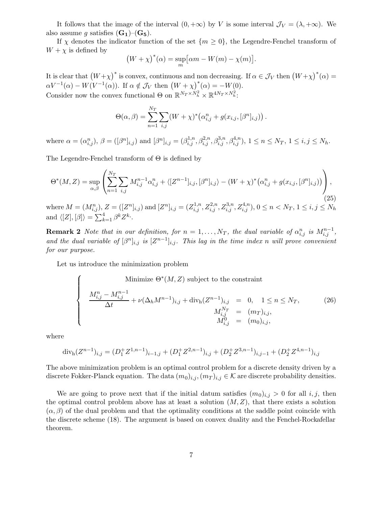It follows that the image of the interval  $(0, +\infty)$  by V is some interval  $\mathcal{J}_V = (\lambda, +\infty)$ . We also assume g satisfies  $(G_1)$ – $(G_5)$ .

If  $\chi$  denotes the indicator function of the set  $\{m \geq 0\}$ , the Legendre-Fenchel transform of  $W + \chi$  is defined by

$$
(W + \chi)^{*}(\alpha) = \sup_{m} \left[ \alpha m - W(m) - \chi(m) \right].
$$

It is clear that  $(W+\chi)^*$  is convex, continuous and non decreasing. If  $\alpha \in \mathcal{J}_V$  then  $(W+\chi)^*(\alpha) =$  $\alpha V^{-1}(\alpha) - W(V^{-1}(\alpha)).$  If  $\alpha \notin \mathcal{J}_V$  then  $(W + \chi)_{\alpha}^*(\alpha) = -W(0).$ Consider now the convex functional  $\Theta$  on  $\mathbb{R}^{N_T \times N_h^2} \times \mathbb{R}^{4N_T \times N_h^2}$ :

$$
\Theta(\alpha, \beta) = \sum_{n=1}^{N_T} \sum_{i,j} (W + \chi)^* (\alpha_{i,j}^n + g(x_{i,j}, [\beta^n]_{i,j})) .
$$

where  $\alpha = (\alpha_{i,j}^n)$ ,  $\beta = ([\beta^n]_{i,j})$  and  $[\beta^n]_{i,j} = (\beta_{i,j}^{1,n}, \beta_{i,j}^{2,n}, \beta_{i,j}^{3,n}, \beta_{i,j}^{4,n})$ ,  $1 \le n \le N_T$ ,  $1 \le i, j \le N_h$ .

The Legendre-Fenchel transform of  $\Theta$  is defined by

$$
\Theta^*(M, Z) = \sup_{\alpha, \beta} \left( \sum_{n=1}^{N_T} \sum_{i,j} M_{i,j}^{n-1} \alpha_{i,j}^n + \langle [Z^{n-1}]_{i,j}, [\beta^n]_{i,j} \rangle - (W + \chi)^* \big( \alpha_{i,j}^n + g(x_{i,j}, [\beta^n]_{i,j}) \big) \right),
$$
\n(25)

where  $M = (M_{i,j}^n)$ ,  $Z = ([Z^n]_{i,j})$  and  $[Z^n]_{i,j} = (Z_{i,j}^{1,n}, Z_{i,j}^{2,n}, Z_{i,j}^{3,n}, Z_{i,j}^{4,n})$ ,  $0 \le n \le N_T$ ,  $1 \le i, j \le N_h$ and  $\langle [Z], [\beta] \rangle = \sum_{k=1}^{4} \beta^{k} Z^{k}$ .

**Remark 2** Note that in our definition, for  $n = 1, ..., N_T$ , the dual variable of  $\alpha_{i,j}^n$  is  $M_{i,j}^{n-1}$ , and the dual variable of  $[\beta^n]_{i,j}$  is  $[Z^{n-1}]_{i,j}$ . This lag in the time index n will prove convenient for our purpose.

Let us introduce the minimization problem

 $\sqrt{ }$  $\Bigg\}$  $\overline{\phantom{a}}$ Minimize  $\Theta^*(M, Z)$  subject to the constraint  $M_{i,j}^{n} - M_{i,j}^{n-1}$  $\frac{M_{i,j}}{\Delta t} + \nu (\Delta_h M^{n-1})_{i,j} + \text{div}_h (Z^{n-1})_{i,j} = 0, \quad 1 \leq n \leq N_T,$  $M_{i,j}^{N_T} = (m_T)_{i,j},$  $\tilde{M^0_{i,j}} \;\; = \;\; (m_0)_{i,j},$ (26)

where

$$
\operatorname{div}_{\mathbf{h}}(Z^{n-1})_{i,j} = (D_1^+ Z^{1,n-1})_{i-1,j} + (D_1^+ Z^{2,n-1})_{i,j} + (D_2^+ Z^{3,n-1})_{i,j-1} + (D_2^+ Z^{4,n-1})_{i,j}
$$

The above minimization problem is an optimal control problem for a discrete density driven by a discrete Fokker-Planck equation. The data  $(m_0)_{i,j},(m_T)_{i,j} \in \mathcal{K}$  are discrete probability densities.

We are going to prove next that if the initial datum satisfies  $(m_0)_{i,j} > 0$  for all i, j, then the optimal control problem above has at least a solution  $(M, Z)$ , that there exists a solution  $(\alpha, \beta)$  of the dual problem and that the optimality conditions at the saddle point coincide with the discrete scheme (18). The argument is based on convex duality and the Fenchel-Rockafellar theorem.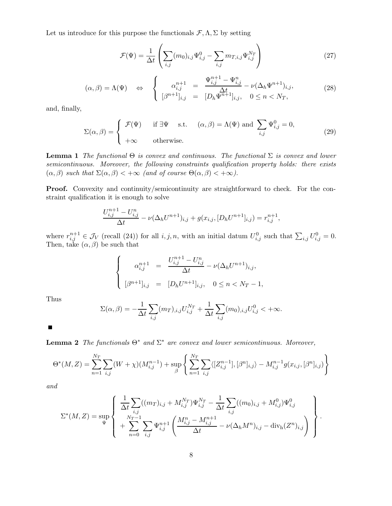Let us introduce for this purpose the functionals  $\mathcal{F}, \Lambda, \Sigma$  by setting

$$
\mathcal{F}(\Psi) = \frac{1}{\Delta t} \left( \sum_{i,j} (m_0)_{i,j} \Psi_{i,j}^0 - \sum_{i,j} m_{T,i,j} \Psi_{i,j}^{N_T} \right)
$$
(27)

$$
(\alpha, \beta) = \Lambda(\Psi) \quad \Leftrightarrow \quad \begin{cases} \alpha_{i,j}^{n+1} = \frac{\Psi_{i,j}^{n+1} - \Psi_{i,j}^n}{\Delta t} - \nu(\Delta_h \Psi^{n+1})_{i,j}, \\ [\beta^{n+1}]_{i,j} = [D_h \Psi^{n+1}]_{i,j}, \quad 0 \le n < N_T, \end{cases} \tag{28}
$$

and, finally,

$$
\Sigma(\alpha, \beta) = \begin{cases}\n\mathcal{F}(\Psi) & \text{if } \exists \Psi \quad \text{s.t.} \quad (\alpha, \beta) = \Lambda(\Psi) \text{ and } \sum_{i,j} \Psi_{i,j}^0 = 0, \\
+\infty & \text{otherwise.}\n\end{cases}
$$
\n(29)

**Lemma 1** The functional  $\Theta$  is convex and continuous. The functional  $\Sigma$  is convex and lower semicontinuous. Moreover, the following constraints qualification property holds: there exists  $(\alpha, \beta)$  such that  $\Sigma(\alpha, \beta) < +\infty$  (and of course  $\Theta(\alpha, \beta) < +\infty$ ).

Proof. Convexity and continuity/semicontinuity are straightforward to check. For the constraint qualification it is enough to solve

$$
\frac{U_{i,j}^{n+1} - U_{i,j}^n}{\Delta t} - \nu (\Delta_h U^{n+1})_{i,j} + g(x_{i,j}, [D_h U^{n+1}]_{i,j}) = r_{i,j}^{n+1},
$$

where  $r_{i,j}^{n+1} \in \mathcal{J}_V$  (recall (24)) for all  $i, j, n$ , with an initial datum  $U_{i,j}^0$  such that  $\sum_{i,j} U_{i,j}^0 = 0$ . Then, take  $(\alpha, \beta)$  be such that

$$
\begin{cases}\n\alpha_{i,j}^{n+1} = \frac{U_{i,j}^{n+1} - U_{i,j}^n}{\Delta t} - \nu (\Delta_h U^{n+1})_{i,j}, \\
[\beta^{n+1}]_{i,j} = [D_h U^{n+1}]_{i,j}, \quad 0 \le n < N_T - 1,\n\end{cases}
$$

Thus

$$
\Sigma(\alpha, \beta) = -\frac{1}{\Delta t} \sum_{i,j} (m_T)_{i,j} U_{i,j}^{N_T} + \frac{1}{\Delta t} \sum_{i,j} (m_0)_{i,j} U_{i,j}^0 < +\infty.
$$

 $\blacksquare$ 

**Lemma 2** The functionals  $\Theta^*$  and  $\Sigma^*$  are convex and lower semicontinuous. Moreover,

$$
\Theta^*(M,Z) = \sum_{n=1}^{N_T} \sum_{i,j} (W+\chi)(M_{i,j}^{n-1}) + \sup_{\beta} \left\{ \sum_{n=1}^{N_T} \sum_{i,j} \langle [Z_{i,j}^{n-1}], [\beta^n]_{i,j} \rangle - M_{i,j}^{n-1} g(x_{i,j}, [\beta^n]_{i,j}) \right\}
$$

and

$$
\Sigma^*(M, Z) = \sup_{\Psi} \left\{ \begin{array}{l} \frac{1}{\Delta t} \sum_{i,j} ((m_T)_{i,j} + M_{i,j}^{N_T}) \Psi_{i,j}^{N_T} - \frac{1}{\Delta t} \sum_{i,j} ((m_0)_{i,j} + M_{i,j}^0) \Psi_{i,j}^0 \\ + \sum_{n=0}^{N_T-1} \sum_{i,j} \Psi_{i,j}^{n+1} \left( \frac{M_{i,j}^n - M_{i,j}^{n+1}}{\Delta t} - \nu (\Delta_h M^n)_{i,j} - \text{div}_{h} (Z^n)_{i,j} \right) \end{array} \right\}.
$$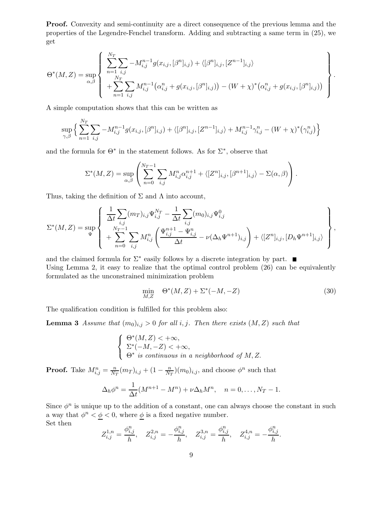Proof. Convexity and semi-continuity are a direct consequence of the previous lemma and the properties of the Legendre-Fenchel transform. Adding and subtracting a same term in (25), we get

$$
\Theta^*(M,Z) = \sup_{\alpha,\beta} \left\{ \sum_{n=1}^{N_T} \sum_{i,j} -M_{i,j}^{n-1} g(x_{i,j}, [\beta^n]_{i,j}) + \langle [\beta^n]_{i,j}, [Z^{n-1}]_{i,j} \rangle + \sum_{n=1}^{N_T} \sum_{i,j} M_{i,j}^{n-1} (\alpha_{i,j}^n + g(x_{i,j}, [\beta^n]_{i,j})) - (W + \chi)^* (\alpha_{i,j}^n + g(x_{i,j}, [\beta^n]_{i,j})) \right\}.
$$

A simple computation shows that this can be written as

N<sup>T</sup>

$$
\sup_{\gamma,\beta} \Big\{ \sum_{n=1}^{N_T} \sum_{i,j} -M_{i,j}^{n-1} g(x_{i,j}, [\beta^n]_{i,j}) + \langle [\beta^n]_{i,j}, [Z^{n-1}]_{i,j} \rangle + M_{i,j}^{n-1} \gamma_{i,j}^n - (W + \chi)^* (\gamma_{i,j}^n) \Big\}
$$

and the formula for  $\Theta^*$  in the statement follows. As for  $\Sigma^*$ , observe that

$$
\Sigma^*(M, Z) = \sup_{\alpha, \beta} \left( \sum_{n=0}^{N_T - 1} \sum_{i,j} M_{i,j}^n \alpha_{i,j}^{n+1} + \langle [Z^n]_{i,j}, [\beta^{n+1}]_{i,j} \rangle - \Sigma(\alpha, \beta) \right).
$$

Thus, taking the definition of  $\Sigma$  and  $\Lambda$  into account,

$$
\Sigma^*(M, Z) = \sup_{\Psi} \left\{ \begin{array}{l} \frac{1}{\Delta t} \sum_{i,j} (m_T)_{i,j} \Psi_{i,j}^{N_T} - \frac{1}{\Delta t} \sum_{i,j} (m_0)_{i,j} \Psi_{i,j}^0 \\ + \sum_{n=0}^{N_T-1} \sum_{i,j} M_{i,j}^n \left( \frac{\Psi_{i,j}^{n+1} - \Psi_{i,j}^n}{\Delta t} - \nu (\Delta_h \Psi^{n+1})_{i,j} \right) + \langle [Z^n]_{i,j}, [D_h \Psi^{n+1}]_{i,j} \rangle \end{array} \right\},
$$

and the claimed formula for  $\Sigma^*$  easily follows by a discrete integration by part. Using Lemma 2, it easy to realize that the optimal control problem  $(26)$  can be equivalently formulated as the unconstrained minimization problem

$$
\min_{M,Z} \quad \Theta^*(M,Z) + \Sigma^*(-M,-Z) \tag{30}
$$

The qualification condition is fulfilled for this problem also:

**Lemma 3** Assume that  $(m_0)_{i,j} > 0$  for all i, j. Then there exists  $(M, Z)$  such that

$$
\begin{cases} \Theta^*(M,Z) < +\infty, \\ \Sigma^*(-M,-Z) < +\infty, \\ \Theta^* \text{ is continuous in a neighborhood of } M, Z. \end{cases}
$$

**Proof.** Take  $M_{i,j}^n = \frac{n}{N_T}(m_T)_{i,j} + (1 - \frac{n}{N_T})(m_0)_{i,j}$ , and choose  $\phi^n$  such that

$$
\Delta_h \phi^n = \frac{1}{\Delta t} (M^{n+1} - M^n) + \nu \Delta_h M^n, \quad n = 0, \dots, N_T - 1.
$$

Since  $\phi^n$  is unique up to the addition of a constant, one can always choose the constant in such a way that  $\phi^n < \phi < 0$ , where  $\phi$  is a fixed negative number. Set then

$$
Z_{i,j}^{1,n} = \frac{\phi_{i,j}^n}{h}, \quad Z_{i,j}^{2,n} = -\frac{\phi_{i,j}^n}{h}, \quad Z_{i,j}^{3,n} = \frac{\phi_{i,j}^n}{h}, \quad Z_{i,j}^{4,n} = -\frac{\phi_{i,j}^n}{h}.
$$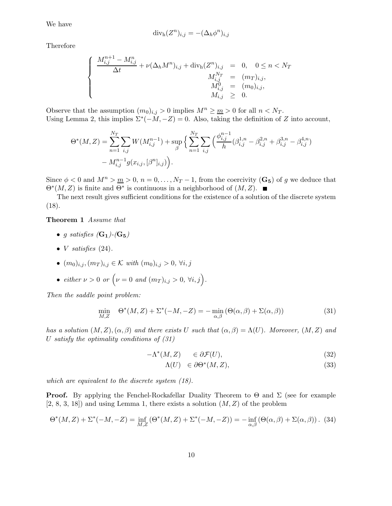We have

$$
\mathrm{div}_{\mathrm{h}}(Z^n)_{i,j} = -(\Delta_h \phi^n)_{i,j}
$$

Therefore

$$
\begin{cases}\n\frac{M_{i,j}^{n+1} - M_{i,j}^n}{\Delta t} + \nu (\Delta_h M^n)_{i,j} + \text{div}_h (Z^n)_{i,j} & = 0, \quad 0 \le n < N_T \\
M_{i,j}^{N_T} & = (m_T)_{i,j}, \\
M_{i,j}^0 & = (m_0)_{i,j}, \\
M_{i,j} & \ge 0.\n\end{cases}
$$

Observe that the assumption  $(m_0)_{i,j} > 0$  implies  $M^n \geq m > 0$  for all  $n < N_T$ . Using Lemma 2, this implies  $\Sigma^*(-M, -Z) = 0$ . Also, taking the definition of Z into account,

$$
\Theta^*(M, Z) = \sum_{n=1}^{N_T} \sum_{i,j} W(M_{i,j}^{n-1}) + \sup_{\beta} \left\{ \sum_{n=1}^{N_T} \sum_{i,j} \left( \frac{\phi_{i,j}^{n-1}}{h} (\beta_{i,j}^{1,n} - \beta_{i,j}^{2,n} + \beta_{i,j}^{3,n} - \beta_{i,j}^{4,n}) - M_{i,j}^{n-1} g(x_{i,j}, [\beta^n]_{i,j}) \right) \right\}.
$$

Since  $\phi < 0$  and  $M^n > m > 0$ ,  $n = 0, ..., N_T - 1$ , from the coercivity  $(G_5)$  of g we deduce that  $\Theta^*(M, Z)$  is finite and  $\Theta^*$  is continuous in a neighborhood of  $(M, Z)$ .

The next result gives sufficient conditions for the existence of a solution of the discrete system  $(18).$ 

#### Theorem 1 Assume that

- g satisfies  $(G_1)$ - $(G_5)$
- *V* satisfies  $(24)$ .
- $(m_0)_{i,j}, (m_T)_{i,j} \in \mathcal{K}$  with  $(m_0)_{i,j} > 0, \forall i, j$
- either  $\nu > 0$  or  $(\nu = 0 \text{ and } (m_T)_{i,j} > 0, \forall i, j).$

Then the saddle point problem:

$$
\min_{M,Z} \quad \Theta^*(M,Z) + \Sigma^*(-M,-Z) = -\min_{\alpha,\beta} \left( \Theta(\alpha,\beta) + \Sigma(\alpha,\beta) \right) \tag{31}
$$

has a solution  $(M, Z), (\alpha, \beta)$  and there exists U such that  $(\alpha, \beta) = \Lambda(U)$ . Moreover,  $(M, Z)$  and U satisfy the optimality conditions of  $(31)$ 

$$
-\Lambda^*(M, Z) \qquad \in \partial \mathcal{F}(U), \tag{32}
$$

$$
\Lambda(U) \in \partial \Theta^*(M, Z), \tag{33}
$$

which are equivalent to the discrete system (18).

**Proof.** By applying the Fenchel-Rockafellar Duality Theorem to  $\Theta$  and  $\Sigma$  (see for example  $[2, 8, 3, 18]$  and using Lemma 1, there exists a solution  $(M, Z)$  of the problem

$$
\Theta^*(M, Z) + \Sigma^*(-M, -Z) = \inf_{M, Z} (\Theta^*(M, Z) + \Sigma^*(-M, -Z)) = -\inf_{\alpha, \beta} (\Theta(\alpha, \beta) + \Sigma(\alpha, \beta)).
$$
 (34)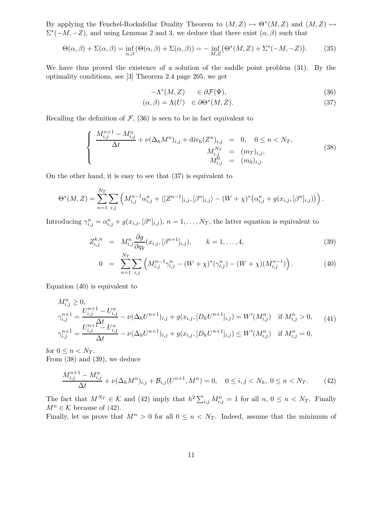By applying the Fenchel-Rockafellar Duality Theorem to  $(M, Z) \rightarrow \Theta^*(M, Z)$  and  $(M, Z) \rightarrow$  $\Sigma^*(-M, -Z)$ , and using Lemmas 2 and 3, we deduce that there exist  $(\alpha, \beta)$  such that

$$
\Theta(\alpha,\beta) + \Sigma(\alpha,\beta) = \inf_{\alpha,\beta} (\Theta(\alpha,\beta) + \Sigma(\alpha,\beta)) = -\inf_{M,Z} (\Theta^*(M,Z) + \Sigma^*(-M,-Z)).
$$
 (35)

We have thus proved the existence of a solution of the saddle point problem (31). By the optimality conditions, see [3] Theorem 2.4 page 205, we get

$$
-\Lambda^*(M, Z) \qquad \in \partial \mathcal{F}(\Psi), \tag{36}
$$

$$
(\alpha, \beta) = \Lambda(U) \in \partial \Theta^*(M, Z). \tag{37}
$$

Recalling the definition of  $F$ , (36) is seen to be in fact equivalent to

$$
\begin{cases}\n\frac{M_{i,j}^{n+1} - M_{i,j}^n}{\Delta t} + \nu (\Delta_h M^n)_{i,j} + \text{div}_h (Z^n)_{i,j} = 0, & 0 \le n < N_T, \\
M_{i,j}^{N_T} = (m_T)_{i,j}, & \\
M_{i,j}^0 = (m_0)_{i,j}.\n\end{cases} \tag{38}
$$

On the other hand, it is easy to see that (37) is equivalent to

$$
\Theta^*(M,Z) = \sum_{n=1}^{N_T} \sum_{i,j} \left( M_{i,j}^{n-1} \alpha_{i,j}^n + \langle [Z^{n-1}]_{i,j}, [\beta^n]_{i,j} \rangle - (W+\chi)^* \big( \alpha_{i,j}^n + g(x_{i,j}, [\beta^n]_{i,j}) \big) \right).
$$

Introducing  $\gamma_{i,j}^n = \alpha_{i,j}^n + g(x_{i,j}, [\beta^n]_{i,j}), n = 1, \ldots, N_T$ , the latter equation is equivalent to

$$
Z_{i,j}^{k,n} = M_{i,j}^n \frac{\partial g}{\partial q_k}(x_{i,j}, [\beta^{n+1}]_{i,j}), \qquad k = 1, \dots, 4,
$$
\n(39)

$$
0 = \sum_{n=1}^{N_T} \sum_{i,j} \left( M_{i,j}^{n-1} \gamma_{i,j}^n - (W + \chi)^* (\gamma_{i,j}^n) - (W + \chi)(M_{i,j}^{n-1}) \right).
$$
 (40)

Equation (40) is equivalent to

$$
M_{i,j}^{n} \ge 0,
$$
  
\n
$$
\gamma_{i,j}^{n+1} = \frac{U_{i,j}^{n+1} - U_{i,j}^{n}}{\Delta t} - \nu (\Delta_h U^{n+1})_{i,j} + g(x_{i,j}, [D_h U^{n+1}]_{i,j}) = W'(M_{i,j}^{n}) \text{ if } M_{i,j}^{n} > 0,
$$
  
\n
$$
\gamma_{i,j}^{n+1} = \frac{U_{i,j}^{n+1} - U_{i,j}^{n}}{\Delta t} - \nu (\Delta_h U^{n+1})_{i,j} + g(x_{i,j}, [D_h U^{n+1}]_{i,j}) \le W'(M_{i,j}^{n}) \text{ if } M_{i,j}^{n} = 0,
$$
\n(41)

for  $0 \leq n < N_T$ . From (38) and (39), we deduce

$$
\frac{M_{i,j}^{n+1} - M_{i,j}^n}{\Delta t} + \nu (\Delta_h M^n)_{i,j} + \mathcal{B}_{i,j}(U^{n+1}, M^n) = 0, \quad 0 \le i, j < N_h, \ 0 \le n < N_T. \tag{42}
$$

The fact that  $M^{N_T} \in \mathcal{K}$  and (42) imply that  $h^2 \sum_{i,j} M_{i,j}^n = 1$  for all  $n, 0 \le n \le N_T$ . Finally  $M^n \in \mathcal{K}$  because of (42). Finally, let us prove that  $M^n > 0$  for all  $0 \leq n \leq N_T$ . Indeed, assume that the minimum of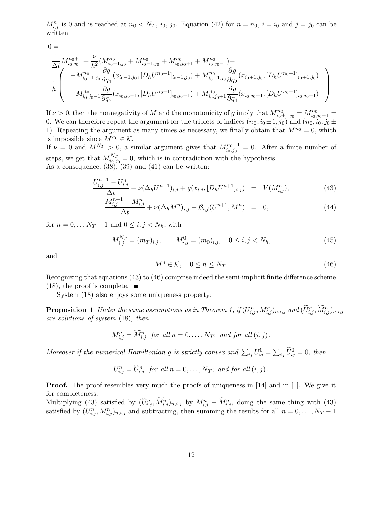$M_{i,j}^n$  is 0 and is reached at  $n_0 < N_T$ ,  $i_0$ ,  $j_0$ . Equation (42) for  $n = n_0$ ,  $i = i_0$  and  $j = j_0$  can be written

$$
0 = \frac{1}{\Delta t} M_{i_0, j_0}^{n_0+1} + \frac{\nu}{h^2} (M_{i_0+1, j_0}^{n_0} + M_{i_0-1, j_0}^{n_0} + M_{i_0, j_0+1}^{n_0} + M_{i_0, j_0-1}^{n_0}) +
$$
  
\n
$$
\frac{1}{h} \left( \begin{array}{c} -M_{i_0-1, j_0}^{n_0} \frac{\partial g}{\partial q_1}(x_{i_0-1, j_0}, [D_h U^{n_0+1}]_{i_0-1, j_0}) + M_{i_0+1, j_0}^{n_0} \frac{\partial g}{\partial q_2}(x_{i_0+1, j_0}, [D_h U^{n_0+1}]_{i_0+1, j_0}) \\ -M_{i_0, j_0-1}^{n_0} \frac{\partial g}{\partial q_3}(x_{i_0, j_0-1}, [D_h U^{n_0+1}]_{i_0, j_0-1}) + M_{i_0, j_0+1}^{n_0} \frac{\partial g}{\partial q_4}(x_{i_0, j_0+1}, [D_h U^{n_0+1}]_{i_0, j_0+1}) \end{array} \right)
$$

If  $\nu > 0$ , then the nonnegativity of M and the monotonicity of g imply that  $M_{i_0 \pm 1,j_0}^{n_0} = M_{i_0,j_0 \pm 1}^{n_0} =$ 0. We can therefore repeat the argument for the triplets of indices  $(n_0,i_0 \pm 1,j_0)$  and  $(n_0,i_0,j_0 \pm 1,j_0)$ 1). Repeating the argument as many times as necessary, we finally obtain that  $M^{n_0} = 0$ , which is impossible since  $M^{n_0} \in \mathcal{K}$ .

If  $\nu = 0$  and  $M^{N_T} > 0$ , a similar argument gives that  $M_{i_0,j_0}^{n_0+1} = 0$ . After a finite number of steps, we get that  $M_{i_0,j_0}^{N_T} = 0$ , which is in contradiction with the hypothesis. As a consequence,  $(38)$ ,  $(39)$  and  $(41)$  can be written:

$$
\frac{U_{i,j}^{n+1} - U_{i,j}^n}{\Delta t} - \nu (\Delta_h U^{n+1})_{i,j} + g(x_{i,j}, [D_h U^{n+1}]_{i,j}) = V(M_{i,j}^n),\tag{43}
$$

$$
\frac{M_{i,j}^{n+1} - M_{i,j}^n}{\Delta t} + \nu (\Delta_h M^n)_{i,j} + \mathcal{B}_{i,j}(U^{n+1}, M^n) = 0,
$$
\n(44)

for  $n = 0, \ldots N_T - 1$  and  $0 \le i, j < N_h$ , with

$$
M_{i,j}^{N_T} = (m_T)_{i,j}, \qquad M_{i,j}^0 = (m_0)_{i,j}, \quad 0 \le i, j < N_h,\tag{45}
$$

and

$$
M^n \in \mathcal{K}, \quad 0 \le n \le N_T. \tag{46}
$$

Recognizing that equations (43) to (46) comprise indeed the semi-implicit finite difference scheme  $(18)$ , the proof is complete.

System (18) also enjoys some uniqueness property:

**Proposition 1** Under the same assumptions as in Theorem 1, if  $(U_{i,j}^n, M_{i,j}^n)_{n,i,j}$  and  $(\tilde{U}_{i,j}^n, \tilde{M}_{i,j}^n)_{n,i,j}$ are solutions of system (18), then

$$
M_{i,j}^n = \widetilde{M}_{i,j}^n \text{ for all } n = 0, \ldots, N_T; \text{ and for all } (i,j).
$$

Moreover if the numerical Hamiltonian g is strictly convex and  $\sum_{ij} U_{ij}^0 = \sum_{ij} \widetilde{U}_{ij}^0 = 0$ , then

$$
U_{i,j}^n = \widetilde{U}_{i,j}^n \text{ for all } n = 0, \ldots, N_T; \text{ and for all } (i,j).
$$

**Proof.** The proof resembles very much the proofs of uniqueness in [14] and in [1]. We give it for completeness.

Multiplying (43) satisfied by  $(\tilde{U}_{i,j}^n, \tilde{M}_{i,j}^n)_{n,i,j}$  by  $M_{i,j}^n - \tilde{M}_{i,j}^n$ , doing the same thing with (43) satisfied by  $(U_{i,j}^n, M_{i,j}^n)_{n,i,j}$  and subtracting, then summing the results for all  $n = 0, \ldots, N_T - 1$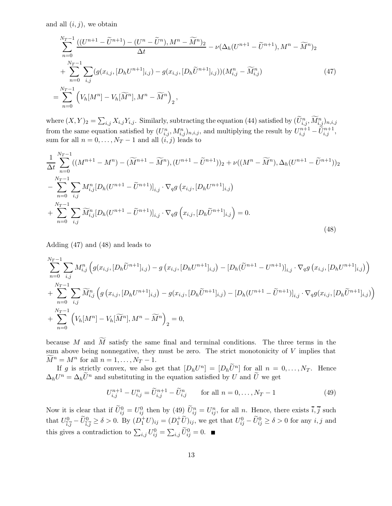and all  $(i, j)$ , we obtain

$$
\sum_{n=0}^{N_T-1} \frac{((U^{n+1} - \tilde{U}^{n+1}) - (U^n - \tilde{U}^n), M^n - \tilde{M}^n)_2}{\Delta t} - \nu (\Delta_h (U^{n+1} - \tilde{U}^{n+1}), M^n - \tilde{M}^n)_2
$$
  
+ 
$$
\sum_{n=0}^{N_T-1} \sum_{i,j} (g(x_{i,j}, [D_h U^{n+1}]_{i,j}) - g(x_{i,j}, [D_h \tilde{U}^{n+1}]_{i,j})) (M_{i,j}^n - \tilde{M}_{i,j}^n)
$$
  
= 
$$
\sum_{n=0}^{N_T-1} (V_h [M^n] - V_h [\tilde{M}^n], M^n - \tilde{M}^n)_2,
$$
 (47)

where  $(X,Y)_2 = \sum_{i,j} X_{i,j} Y_{i,j}$ . Similarly, subtracting the equation (44) satisfied by  $(\widetilde{U}_{i,j}^n, \widetilde{M}_{i,j}^n)_{n,i,j}$ from the same equation satisfied by  $(U_{i,j}^n, M_{i,j}^n)_{n,i,j}$ , and multiplying the result by  $U_{i,j}^{n+1} - \widetilde{U}_{i,j}^{n+1}$ , sum for all  $n = 0, \ldots, N_T - 1$  and all  $(i, j)$  leads to

$$
\frac{1}{\Delta t} \sum_{n=0}^{N_T-1} ((M^{n+1} - M^n) - (\widetilde{M}^{n+1} - \widetilde{M}^n), (U^{n+1} - \widetilde{U}^{n+1}))_2 + \nu((M^n - \widetilde{M}^n), \Delta_h (U^{n+1} - \widetilde{U}^{n+1}))_2 \n- \sum_{n=0}^{N_T-1} \sum_{i,j} M_{i,j}^n [D_h (U^{n+1} - \widetilde{U}^{n+1})]_{i,j} \cdot \nabla_q g(x_{i,j}, [D_h U^{n+1}]_{i,j}) \n+ \sum_{n=0}^{N_T-1} \sum_{i,j} \widetilde{M}_{i,j}^n [D_h (U^{n+1} - \widetilde{U}^{n+1})]_{i,j} \cdot \nabla_q g(x_{i,j}, [D_h \widetilde{U}^{n+1}]_{i,j}) = 0.
$$
\n(48)

Adding (47) and (48) and leads to

$$
\sum_{n=0}^{N_T-1} \sum_{i,j} M_{i,j}^n \left( g(x_{i,j}, [D_h \widetilde{U}^{n+1}]_{i,j}) - g(x_{i,j}, [D_h U^{n+1}]_{i,j}) - [D_h (\widetilde{U}^{n+1} - U^{n+1})]_{i,j} \cdot \nabla_q g(x_{i,j}, [D_h U^{n+1}]_{i,j}) \right) + \sum_{n=0}^{N_T-1} \sum_{i,j} \widetilde{M}_{i,j}^n \left( g(x_{i,j}, [D_h U^{n+1}]_{i,j}) - g(x_{i,j}, [D_h \widetilde{U}^{n+1}]_{i,j}) - [D_h (U^{n+1} - \widetilde{U}^{n+1})]_{i,j} \cdot \nabla_q g(x_{i,j}, [D_h \widetilde{U}^{n+1}]_{i,j}) \right) + \sum_{n=0}^{N_T-1} \left( V_h [M^n] - V_h [\widetilde{M}^n], M^n - \widetilde{M}^n \right)_2 = 0,
$$

because M and  $\widetilde{M}$  satisfy the same final and terminal conditions. The three terms in the sum above being nonnegative, they must be zero. The strict monotonicity of  $V$  implies that  $\widetilde{M}^n = M^n$  for all  $n = 1, \ldots, N_T - 1$ .

If g is strictly convex, we also get that  $[D_h U^n] = [D_h \tilde{U}^n]$  for all  $n = 0, \ldots, N_T$ . Hence  $\Delta_h U^n = \Delta_h \tilde{U}^n$  and substituting in the equation satisfied by U and  $\tilde{U}$  we get

$$
U_{i,j}^{n+1} - U_{i,j}^n = \tilde{U}_{i,j}^{n+1} - \tilde{U}_{i,j}^n \qquad \text{for all } n = 0, \dots, N_T - 1 \tag{49}
$$

Now it is clear that if  $\tilde{U}_{ij}^0 = U_{ij}^0$  then by (49)  $\tilde{U}_{ij}^n = U_{ij}^n$ , for all n. Hence, there exists  $\overline{i}, \overline{j}$  such that  $U_i^0$  $\frac{1}{\tilde{i},\tilde{j}} - \tilde{U}_{\tilde{i},\tilde{j}}^0 \ge \delta > 0$ . By  $(D_1^+ U)_{ij} = (D_1^+ \tilde{U})_{ij}$ , we get that  $U_{ij}^0 - \tilde{U}_{ij}^0 \ge \delta > 0$  for any  $i, j$  and this gives a contradiction to  $\sum_{i,j} U_{ij}^0 = \sum_{i,j} \widetilde{U}_{ij}^0 = 0$ .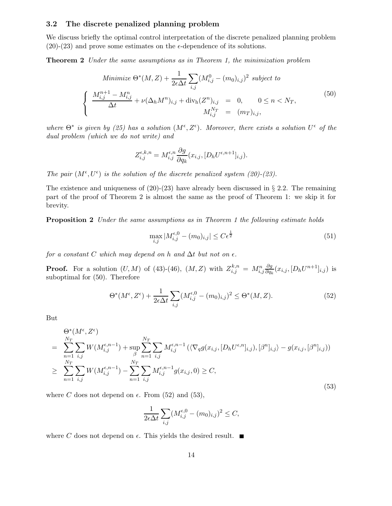#### 3.2 The discrete penalized planning problem

We discuss briefly the optimal control interpretation of the discrete penalized planning problem  $(20)-(23)$  and prove some estimates on the  $\epsilon$ -dependence of its solutions.

Theorem 2 Under the same assumptions as in Theorem 1, the minimization problem

Minimize 
$$
\Theta^*(M, Z) + \frac{1}{2\epsilon \Delta t} \sum_{i,j} (M_{i,j}^0 - (m_0)_{i,j})^2
$$
 subject to  
\n
$$
\begin{cases}\n\frac{M_{i,j}^{n+1} - M_{i,j}^n}{\Delta t} + \nu (\Delta_h M^n)_{i,j} + \text{div}_h (Z^n)_{i,j} = 0, \quad 0 \le n < N_T, \\
M_{i,j}^{N_T} = (m_T)_{i,j},\n\end{cases}
$$
\n(50)

where  $\Theta^*$  is given by (25) has a solution  $(M^{\epsilon}, Z^{\epsilon})$ . Moreover, there exists a solution  $U^{\epsilon}$  of the dual problem (which we do not write) and

$$
Z_{i,j}^{\epsilon,k,n} = M_{i,j}^{\epsilon,n} \frac{\partial g}{\partial q_k}(x_{i,j}, [D_h U^{\epsilon,n+1}]_{i,j}).
$$

The pair  $(M^{\epsilon}, U^{\epsilon})$  is the solution of the discrete penalized system (20)-(23).

The existence and uniqueness of  $(20)-(23)$  have already been discussed in § 2.2. The remaining part of the proof of Theorem 2 is almost the same as the proof of Theorem 1: we skip it for brevity.

Proposition 2 Under the same assumptions as in Theorem 1 the following estimate holds

$$
\max_{i,j} |M_{i,j}^{\epsilon,0} - (m_0)_{i,j}| \le C\epsilon^{\frac{1}{2}}
$$
\n(51)

for a constant C which may depend on h and  $\Delta t$  but not on  $\epsilon$ .

**Proof.** For a solution  $(U, M)$  of (43)-(46),  $(M, Z)$  with  $Z_{i,j}^{k,n} = M_{i,j}^n$ ∂g  $\frac{\partial g}{\partial q_k}(x_{i,j}, [D_hU^{n+1}]_{i,j})$  is suboptimal for (50). Therefore

$$
\Theta^*(M^\epsilon, Z^\epsilon) + \frac{1}{2\epsilon\Delta t} \sum_{i,j} (M^{\epsilon,0}_{i,j} - (m_0)_{i,j})^2 \le \Theta^*(M, Z). \tag{52}
$$

But

$$
\Theta^*(M^{\epsilon}, Z^{\epsilon}) = \sum_{n=1}^{N_T} \sum_{i,j} W(M^{\epsilon, n-1}_{i,j}) + \sup_{\beta} \sum_{n=1}^{N_T} \sum_{i,j} M^{\epsilon, n-1}_{i,j} (\langle \nabla_q g(x_{i,j}, [D_h U^{\epsilon, n}]_{i,j}), [\beta^n]_{i,j} \rangle - g(x_{i,j}, [\beta^n]_{i,j}))
$$
  
\n
$$
\geq \sum_{n=1}^{N_T} \sum_{i,j} W(M^{\epsilon, n-1}_{i,j}) - \sum_{n=1}^{N_T} \sum_{i,j} M^{\epsilon, n-1}_{i,j} g(x_{i,j}, 0) \geq C,
$$
\n(53)

where C does not depend on  $\epsilon$ . From (52) and (53),

$$
\frac{1}{2\epsilon\Delta t}\sum_{i,j}(M^{\epsilon,0}_{i,j}-(m_0)_{i,j})^2\leq C,
$$

where C does not depend on  $\epsilon$ . This yields the desired result.  $\blacksquare$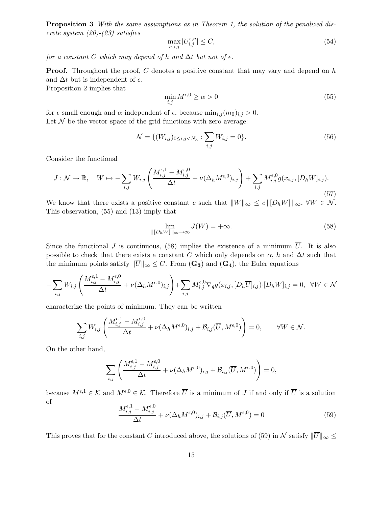Proposition 3 With the same assumptions as in Theorem 1, the solution of the penalized discrete system (20)-(23) satisfies

$$
\max_{n,i,j} |U_{i,j}^{\epsilon,n}| \le C,\tag{54}
$$

for a constant C which may depend of h and  $\Delta t$  but not of  $\epsilon$ .

**Proof.** Throughout the proof, C denotes a positive constant that may vary and depend on h and  $\Delta t$  but is independent of  $\epsilon$ .

Proposition 2 implies that

$$
\min_{i,j} M^{\epsilon,0} \ge \alpha > 0 \tag{55}
$$

for  $\epsilon$  small enough and  $\alpha$  independent of  $\epsilon$ , because  $\min_{i,j}(m_0)_{i,j} > 0$ . Let  $\mathcal N$  be the vector space of the grid functions with zero average:

$$
\mathcal{N} = \{ (W_{i,j})_{0 \le i,j < N_h} : \sum_{i,j} W_{i,j} = 0 \}. \tag{56}
$$

Consider the functional

$$
J: \mathcal{N} \to \mathbb{R}, \quad W \mapsto -\sum_{i,j} W_{i,j} \left( \frac{M_{i,j}^{\epsilon,1} - M_{i,j}^{\epsilon,0}}{\Delta t} + \nu (\Delta_h M^{\epsilon,0})_{i,j} \right) + \sum_{i,j} M_{i,j}^{\epsilon,0} g(x_{i,j}, [D_h W]_{i,j}).
$$
\n
$$
(57)
$$

We know that there exists a positive constant c such that  $||W||_{\infty} \le c||[D_h W]||_{\infty}$ ,  $\forall W \in \mathcal{N}$ . This observation, (55) and (13) imply that

$$
\lim_{\| [D_h W] \|_{\infty} \to \infty} J(W) = +\infty.
$$
\n(58)

Since the functional J is continuous, (58) implies the existence of a minimum  $\overline{U}$ . It is also possible to check that there exists a constant C which only depends on  $\alpha$ , h and  $\Delta t$  such that the minimum points satisfy  $\|\overline{U}\|_{\infty} \leq C$ . From  $(\mathbf{G_3})$  and  $(\mathbf{G_4})$ , the Euler equations

$$
-\sum_{i,j} W_{i,j} \left( \frac{M_{i,j}^{\epsilon,1} - M_{i,j}^{\epsilon,0}}{\Delta t} + \nu (\Delta_h M^{\epsilon,0})_{i,j} \right) + \sum_{i,j} M_{i,j}^{\epsilon,0} \nabla_q g(x_{i,j}, [D_h \overline{U}]_{i,j}) \cdot [D_h W]_{i,j} = 0, \quad \forall W \in \mathcal{N}
$$

characterize the points of minimum. They can be written

$$
\sum_{i,j} W_{i,j} \left( \frac{M_{i,j}^{\epsilon,1} - M_{i,j}^{\epsilon,0}}{\Delta t} + \nu (\Delta_h M^{\epsilon,0})_{i,j} + \mathcal{B}_{i,j}(\overline{U}, M^{\epsilon,0}) \right) = 0, \qquad \forall W \in \mathcal{N}.
$$

On the other hand,

$$
\sum_{i,j} \left( \frac{M_{i,j}^{\epsilon,1} - M_{i,j}^{\epsilon,0}}{\Delta t} + \nu (\Delta_h M^{\epsilon,0})_{i,j} + \mathcal{B}_{i,j}(\overline{U}, M^{\epsilon,0}) \right) = 0,
$$

because  $M^{\epsilon,1} \in \mathcal{K}$  and  $M^{\epsilon,0} \in \mathcal{K}$ . Therefore  $\overline{U}$  is a minimum of J if and only if  $\overline{U}$  is a solution of ,1

$$
\frac{M_{i,j}^{\epsilon,1} - M_{i,j}^{\epsilon,0}}{\Delta t} + \nu (\Delta_h M^{\epsilon,0})_{i,j} + \mathcal{B}_{i,j}(\overline{U}, M^{\epsilon,0}) = 0
$$
\n(59)

This proves that for the constant C introduced above, the solutions of (59) in N satisfy  $\|\overline{U}\|_{\infty} \leq$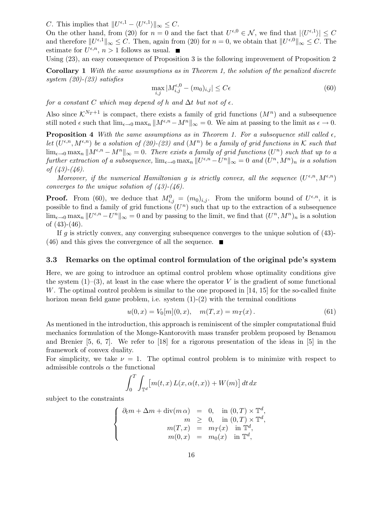C. This implies that  $||U^{\epsilon,1} - \langle U^{\epsilon,1} \rangle||_{\infty} \leq C$ .

On the other hand, from (20) for  $n = 0$  and the fact that  $U^{\epsilon,0} \in \mathcal{N}$ , we find that  $|\langle U^{\epsilon,1} \rangle| \leq C$ and therefore  $||U^{\epsilon,1}||_{\infty} \leq C$ . Then, again from (20) for  $n = 0$ , we obtain that  $||U^{\epsilon,0}||_{\infty} \leq C$ . The estimate for  $U^{\epsilon,n}$ ,  $n > 1$  follows as usual.

Using (23), an easy consequence of Proposition 3 is the following improvement of Proposition 2

Corollary 1 With the same assumptions as in Theorem 1, the solution of the penalized discrete system (20)-(23) satisfies

$$
\max_{i,j} |M_{i,j}^{\epsilon,0} - (m_0)_{i,j}| \le C\epsilon \tag{60}
$$

for a constant C which may depend of h and  $\Delta t$  but not of  $\epsilon$ .

Also since  $\mathcal{K}^{N_T+1}$  is compact, there exists a family of grid functions  $(M^n)$  and a subsequence still noted  $\epsilon$  such that  $\lim_{\epsilon \to 0} \max_n ||M^{\epsilon,n}-M^n||_{\infty} = 0$ . We aim at passing to the limit as  $\epsilon \to 0$ .

**Proposition 4** With the same assumptions as in Theorem 1. For a subsequence still called  $\epsilon$ , let  $(U^{\epsilon,n}, M^{\epsilon,n})$  be a solution of (20)-(23) and  $(M^n)$  be a family of grid functions in K such that  $\lim_{\epsilon \to 0} \max_n ||M^{\epsilon,n} - M^n||_{\infty} = 0$ . There exists a family of grid functions  $(U^n)$  such that up to a further extraction of a subsequence,  $\lim_{\epsilon \to 0} \max_n ||U^{\epsilon,n} - U^n||_{\infty} = 0$  and  $(U^n, M^n)_n$  is a solution of  $(43)-(46)$ .

Moreover, if the numerical Hamiltonian g is strictly convex, all the sequence  $(U^{\epsilon,n}, M^{\epsilon,n})$ converges to the unique solution of  $(43)-(46)$ .

**Proof.** From (60), we deduce that  $M_{i,j}^0 = (m_0)_{i,j}$ . From the uniform bound of  $U^{\epsilon,n}$ , it is possible to find a family of grid functions  $(U^n)$  such that up to the extraction of a subsequence  $\lim_{\epsilon \to 0} \max_n ||U^{\epsilon,n} - U^n||_{\infty} = 0$  and by passing to the limit, we find that  $(U^n, M^n)_n$  is a solution of  $(43)-(46)$ .

If g is strictly convex, any converging subsequence converges to the unique solution of  $(43)$ - $(46)$  and this gives the convergence of all the sequence.

#### 3.3 Remarks on the optimal control formulation of the original pde's system

Here, we are going to introduce an optimal control problem whose optimality conditions give the system  $(1)$ – $(3)$ , at least in the case where the operator V is the gradient of some functional W. The optimal control problem is similar to the one proposed in [14, 15] for the so-called finite horizon mean field game problem, i.e. system  $(1)-(2)$  with the terminal conditions

$$
u(0,x) = V_0[m](0,x), \quad m(T,x) = m_T(x).
$$
 (61)

As mentioned in the introduction, this approach is reminiscent of the simpler computational fluid mechanics formulation of the Monge-Kantorovith mass transfer problem proposed by Benamou and Brenier [5, 6, 7]. We refer to [18] for a rigorous presentation of the ideas in [5] in the framework of convex duality.

For simplicity, we take  $\nu = 1$ . The optimal control problem is to minimize with respect to admissible controls  $\alpha$  the functional

$$
\int_0^T \int_{\mathbb{T}^d} \left[ m(t, x) L(x, \alpha(t, x)) + W(m) \right] dt dx
$$

subject to the constraints

$$
\begin{cases}\n\partial_t m + \Delta m + \operatorname{div}(m \alpha) &= 0, \text{ in } (0, T) \times \mathbb{T}^d, \\
m \geq 0, \text{ in } (0, T) \times \mathbb{T}^d, \\
m(T, x) &= m_T(x) \text{ in } \mathbb{T}^d, \\
m(0, x) &= m_0(x) \text{ in } \mathbb{T}^d,\n\end{cases}
$$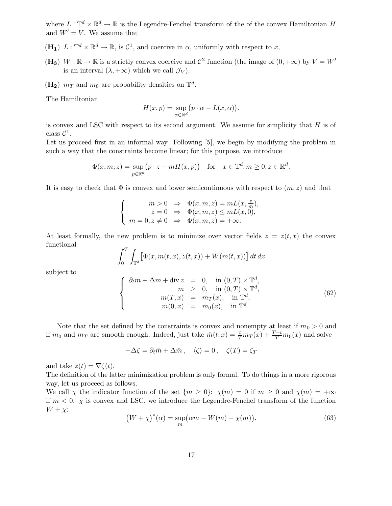where  $L: \mathbb{T}^d \times \mathbb{R}^d \to \mathbb{R}$  is the Legendre-Fenchel transform of the of the convex Hamiltonian H and  $W' = V$ . We assume that

- $(\mathbf{H}_1)$   $L: \mathbb{T}^d \times \mathbb{R}^d \to \mathbb{R}$ , is  $\mathcal{C}^1$ , and coercive in  $\alpha$ , uniformly with respect to  $x$ ,
- (H<sub>3</sub>) W :  $\mathbb{R} \to \mathbb{R}$  is a strictly convex coercive and  $\mathcal{C}^2$  function (the image of  $(0, +\infty)$  by  $V = W'$ is an interval  $(\lambda, +\infty)$  which we call  $\mathcal{J}_V$ .
- $(\mathbf{H_2})$   $m_T$  and  $m_0$  are probability densities on  $\mathbb{T}^d$ .

The Hamiltonian

$$
H(x,p) = \sup_{\alpha \in \mathbb{R}^d} (p \cdot \alpha - L(x,\alpha)).
$$

is convex and LSC with respect to its second argument. We assume for simplicity that  $H$  is of class  $C^1$ .

Let us proceed first in an informal way. Following [5], we begin by modifying the problem in such a way that the constraints become linear; for this purpose, we introduce

$$
\Phi(x, m, z) = \sup_{p \in \mathbb{R}^d} (p \cdot z - m \cdot H(x, p)) \quad \text{for} \quad x \in \mathbb{T}^d, m \ge 0, z \in \mathbb{R}^d.
$$

It is easy to check that  $\Phi$  is convex and lower semicontinuous with respect to  $(m, z)$  and that

$$
\left\{ \begin{array}{rcl} m>0 & \Rightarrow & \Phi(x,m,z)=mL(x,\frac{z}{m}),\\ z=0 & \Rightarrow & \Phi(x,m,z)\leq mL(x,0),\\ m=0, z\neq 0 & \Rightarrow & \Phi(x,m,z)=+\infty. \end{array} \right.
$$

At least formally, the new problem is to minimize over vector fields  $z = z(t, x)$  the convex functional

$$
\int_0^T \int_{\mathbb{T}^d} \left[ \Phi(x, m(t, x), z(t, x)) + W(m(t, x)) \right] dt dx
$$

subject to

$$
\begin{cases}\n\partial_t m + \Delta m + \operatorname{div} z = 0, & \text{in } (0, T) \times \mathbb{T}^d, \\
m \geq 0, & \text{in } (0, T) \times \mathbb{T}^d, \\
m(T, x) = m_T(x), & \text{in } \mathbb{T}^d, \\
m(0, x) = m_0(x), & \text{in } \mathbb{T}^d.\n\end{cases}
$$
\n(62)

Note that the set defined by the constraints is convex and nonempty at least if  $m_0 > 0$  and if  $m_0$  and  $m_T$  are smooth enough. Indeed, just take  $\hat{m}(t,x) = \frac{t}{T} m_T(x) + \frac{T-t}{T} m_0(x)$  and solve

 $-\Delta \zeta = \partial_t \hat{m} + \Delta \hat{m}, \quad \langle \zeta \rangle = 0, \quad \zeta(T) = \zeta_T$ 

and take  $z(t) = \nabla \zeta(t)$ .

The definition of the latter minimization problem is only formal. To do things in a more rigorous way, let us proceed as follows.

We call  $\chi$  the indicator function of the set  $\{m \geq 0\}$ :  $\chi(m) = 0$  if  $m \geq 0$  and  $\chi(m) = +\infty$ if  $m < 0$ .  $\chi$  is convex and LSC, we introduce the Legendre-Fenchel transform of the function  $W + \chi$ :

$$
(W + \chi)^*(\alpha) = \sup_m \left(\alpha m - W(m) - \chi(m)\right).
$$
 (63)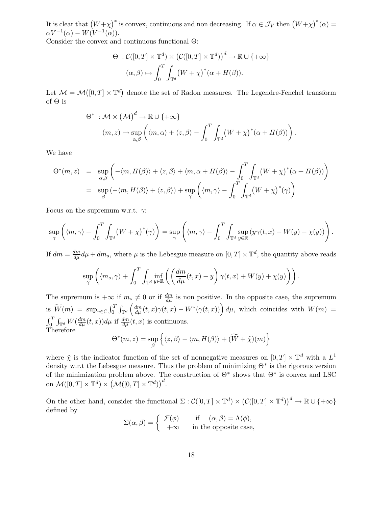It is clear that  $(W+\chi)^*$  is convex, continuous and non decreasing. If  $\alpha \in \mathcal{J}_V$  then  $(W+\chi)^*(\alpha) =$  $\alpha V^{-1}(\alpha) - W(V^{-1}(\alpha)).$ 

Consider the convex and continuous functional Θ:

$$
\Theta : C([0, T] \times \mathbb{T}^d) \times (C([0, T] \times \mathbb{T}^d))^d \to \mathbb{R} \cup \{+\infty\}
$$

$$
(\alpha, \beta) \mapsto \int_0^T \int_{\mathbb{T}^d} (W + \chi)^* (\alpha + H(\beta)).
$$

Let  $\mathcal{M} = \mathcal{M}([0,T] \times \mathbb{T}^d)$  denote the set of Radon measures. The Legendre-Fenchel transform of  $\Theta$  is

$$
\Theta^* : \mathcal{M} \times (\mathcal{M})^d \to \mathbb{R} \cup \{+\infty\}
$$
  

$$
(m, z) \mapsto \sup_{\alpha, \beta} \left( \langle m, \alpha \rangle + \langle z, \beta \rangle - \int_0^T \int_{\mathbb{T}^d} (W + \chi)^* (\alpha + H(\beta)) \right).
$$

We have

$$
\Theta^*(m, z) = \sup_{\alpha, \beta} \left( -\langle m, H(\beta) \rangle + \langle z, \beta \rangle + \langle m, \alpha + H(\beta) \rangle - \int_0^T \int_{\mathbb{T}^d} (W + \chi)^*(\alpha + H(\beta)) \right)
$$
  
= 
$$
\sup_{\beta} \left( -\langle m, H(\beta) \rangle + \langle z, \beta \rangle \right) + \sup_{\gamma} \left( \langle m, \gamma \rangle - \int_0^T \int_{\mathbb{T}^d} (W + \chi)^*(\gamma) \right)
$$

Focus on the supremum w.r.t.  $\gamma$ :

$$
\sup_{\gamma} \left( \langle m, \gamma \rangle - \int_0^T \int_{\mathbb{T}^d} \left( W + \chi \right)^* (\gamma) \right) = \sup_{\gamma} \left( \langle m, \gamma \rangle - \int_0^T \int_{\mathbb{T}^d} \sup_{y \in \mathbb{R}} \left( y \gamma(t, x) - W(y) - \chi(y) \right) \right).
$$

If  $dm = \frac{dm}{d\mu}d\mu + dm_s$ , where  $\mu$  is the Lebesgue measure on  $[0, T] \times \mathbb{T}^d$ , the quantity above reads  $\tau$  $\ddot{\phantom{a}}$ 

$$
\sup_{\gamma} \left( \langle m_s, \gamma \rangle + \int_0^T \int_{\mathbb{T}^d} \inf_{y \in \mathbb{R}} \left( \left( \frac{dm}{d\mu}(t, x) - y \right) \gamma(t, x) + W(y) + \chi(y) \right) \right).
$$

The supremum is  $+\infty$  if  $m_s \neq 0$  or if  $\frac{dm}{d\mu}$  is non positive. In the opposite case, the supremum is  $\widetilde{W}(m) = \sup_{\gamma \in \mathcal{C}} \int_0^T \int_{\mathbb{T}^d} \left( \frac{dm}{d\mu}(t,x) \gamma(t,x) - W^*(\gamma(t,x)) \right) d\mu$ , which coincides with  $W(m) =$  $\int_0^T \int_{\mathbb{T}^d} W(\frac{dm}{d\mu}(t,x))d\mu$  if  $\frac{dm}{d\mu}(t,x)$  is continuous. Therefore

$$
\Theta^*(m, z) = \sup_{\beta} \left\{ \langle z, \beta \rangle - \langle m, H(\beta) \rangle + (\widetilde{W} + \widetilde{\chi})(m) \right\}
$$

where  $\tilde{\chi}$  is the indicator function of the set of nonnegative measures on  $[0, T] \times \mathbb{T}^d$  with a  $L^1$ density w.r.t the Lebesgue measure. Thus the problem of minimizing  $Θ^*$  is the rigorous version of the minimization problem above. The construction of  $\Theta^*$  shows that  $\Theta^*$  is convex and LSC on  $\mathcal{M}([0,T]\times\mathbb{T}^d)\times (\mathcal{M}([0,T]\times\mathbb{T}^d))^d$ .

On the other hand, consider the functional  $\Sigma : \mathcal{C}([0,T] \times \mathbb{T}^d) \times (\mathcal{C}([0,T] \times \mathbb{T}^d))^d \to \mathbb{R} \cup \{+\infty\}$ defined by

$$
\Sigma(\alpha, \beta) = \begin{cases} \mathcal{F}(\phi) & \text{if } (\alpha, \beta) = \Lambda(\phi), \\ +\infty & \text{in the opposite case,} \end{cases}
$$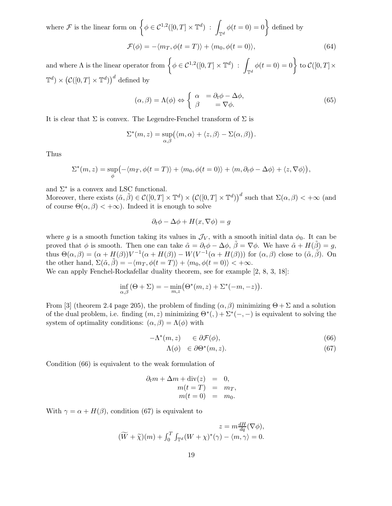where  $\mathcal F$  is the linear form on  $\Big\{\phi\in\mathcal C^{1,2}([0,T]\times\mathbb T^d)\,:\,\,$ z  $\oint_{\mathbb{T}^d} \phi(t=0) = 0$  $\mathcal{L}$ defined by  $\mathcal{F}(\phi) = -\langle m_T, \phi(t = T) \rangle + \langle m_0, \phi(t = 0) \rangle,$  (64)

and where  $\Lambda$  is the linear operator from  $\left\{ \phi \in \mathcal{C}^{1,2}([0,T] \times \mathbb{T}^d) \right\}$ : Z  $\int_{\mathbb{T}^d} \phi(t=0) = 0$  $\mathcal{L}$ to  $\mathcal{C}([0,T]\times$  $\mathbb{T}^d$ ) ×  $(\mathcal{C}([0,T] \times \mathbb{T}^d))$ <sup>d</sup> defined by

$$
(\alpha, \beta) = \Lambda(\phi) \Leftrightarrow \begin{cases} \alpha &= \partial_t \phi - \Delta \phi, \\ \beta &= \nabla \phi. \end{cases} \tag{65}
$$

It is clear that  $\Sigma$  is convex. The Legendre-Fenchel transform of  $\Sigma$  is

$$
\Sigma^*(m, z) = \sup_{\alpha, \beta} (\langle m, \alpha \rangle + \langle z, \beta \rangle - \Sigma(\alpha, \beta)).
$$

Thus

$$
\Sigma^*(m, z) = \sup_{\phi} \left( -\langle m_T, \phi(t = T) \rangle + \langle m_0, \phi(t = 0) \rangle + \langle m, \partial_t \phi - \Delta \phi \rangle + \langle z, \nabla \phi \rangle \right),
$$

and  $\Sigma^*$  is a convex and LSC functional.

Moreover, there exists  $(\tilde{\alpha}, \tilde{\beta}) \in \mathcal{C}([0,T] \times \mathbb{T}^d) \times (\mathcal{C}([0,T] \times \mathbb{T}^d))^d$  such that  $\Sigma(\alpha, \beta) < +\infty$  (and of course  $\Theta(\alpha, \beta) < +\infty$ . Indeed it is enough to solve

$$
\partial_t \phi - \Delta \phi + H(x, \nabla \phi) = g
$$

where g is a smooth function taking its values in  $\mathcal{J}_V$ , with a smooth initial data  $\phi_0$ . It can be proved that  $\phi$  is smooth. Then one can take  $\tilde{\alpha} = \partial_t \phi - \Delta \phi$ ,  $\tilde{\beta} = \nabla \phi$ . We have  $\tilde{\alpha} + H(\tilde{\beta}) = g$ , thus  $\Theta(\alpha, \beta) = (\alpha + H(\beta))V^{-1}(\alpha + H(\beta)) - W(V^{-1}(\alpha + H(\beta)))$  for  $(\alpha, \beta)$  close to  $(\tilde{\alpha}, \tilde{\beta})$ . On the other hand,  $\Sigma(\tilde{\alpha}, \tilde{\beta}) = -\langle m_T, \phi(t = T) \rangle + \langle m_0, \phi(t = 0) \rangle < +\infty$ .

We can apply Fenchel-Rockafellar duality theorem, see for example [2, 8, 3, 18]:

$$
\inf_{\alpha,\beta} (\Theta + \Sigma) = -\min_{m,z} (\Theta^*(m,z) + \Sigma^*(-m,-z)).
$$

From [3] (theorem 2.4 page 205), the problem of finding  $(\alpha, \beta)$  minimizing  $\Theta + \Sigma$  and a solution of the dual problem, i.e. finding  $(m, z)$  minimizing  $\Theta^*(,) + \Sigma^*(-, -)$  is equivalent to solving the system of optimality conditions:  $(\alpha, \beta) = \Lambda(\phi)$  with

$$
-\Lambda^*(m,z) \quad \in \partial \mathcal{F}(\phi), \tag{66}
$$

$$
\Lambda(\phi) \in \partial \Theta^*(m, z). \tag{67}
$$

Condition (66) is equivalent to the weak formulation of

$$
\partial_t m + \Delta m + \text{div}(z) = 0,
$$
  
\n
$$
m(t = T) = m_T,
$$
  
\n
$$
m(t = 0) = m_0.
$$

With  $\gamma = \alpha + H(\beta)$ , condition (67) is equivalent to

$$
z = m \frac{dH}{dq} (\nabla \phi),
$$
  

$$
(\widetilde{W} + \widetilde{\chi})(m) + \int_0^T \int_{\mathbb{T}^d} (W + \chi)^*(\gamma) - \langle m, \gamma \rangle = 0.
$$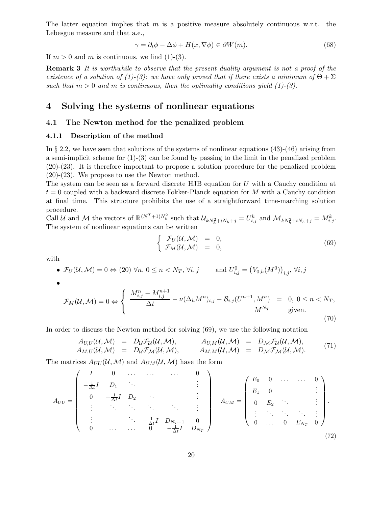The latter equation implies that  $m$  is a positive measure absolutely continuous w.r.t. the Lebesgue measure and that a.e.,

$$
\gamma = \partial_t \phi - \Delta \phi + H(x, \nabla \phi) \in \partial W(m). \tag{68}
$$

If  $m > 0$  and m is continuous, we find (1)-(3).

**Remark 3** It is worthwhile to observe that the present duality argument is not a proof of the existence of a solution of (1)-(3): we have only proved that if there exists a minimum of  $\Theta + \Sigma$ such that  $m > 0$  and m is continuous, then the optimality conditions yield (1)-(3).

## 4 Solving the systems of nonlinear equations

### 4.1 The Newton method for the penalized problem

#### 4.1.1 Description of the method

In  $\S 2.2$ , we have seen that solutions of the systems of nonlinear equations (43)-(46) arising from a semi-implicit scheme for  $(1)-(3)$  can be found by passing to the limit in the penalized problem (20)-(23). It is therefore important to propose a solution procedure for the penalized problem (20)-(23). We propose to use the Newton method.

The system can be seen as a forward discrete HJB equation for U with a Cauchy condition at  $t = 0$  coupled with a backward discrete Fokker-Planck equation for M with a Cauchy condition at final time. This structure prohibits the use of a straightforward time-marching solution procedure.

Call U and M the vectors of  $\mathbb{R}^{(N^T+1)N_h^2}$  such that  $\mathcal{U}_{kN_h^2+iN_h+j} = U_{i,j}^k$  and  $\mathcal{M}_{kN_h^2+iN_h+j} = M_{i,j}^k$ . The system of nonlinear equations can be written

$$
\begin{cases}\n\mathcal{F}_U(\mathcal{U}, \mathcal{M}) = 0, \\
\mathcal{F}_M(\mathcal{U}, \mathcal{M}) = 0,\n\end{cases}
$$
\n(69)

with

• 
$$
\mathcal{F}_U(\mathcal{U}, \mathcal{M}) = 0 \Leftrightarrow (20) \ \forall n, 0 \le n < N_T, \ \forall i, j \qquad \text{and } U_{i,j}^0 = (V_{0,h}(M^0))_{i,j}, \ \forall i, j
$$

•

$$
\mathcal{F}_M(\mathcal{U}, \mathcal{M}) = 0 \Leftrightarrow \begin{cases} \frac{M_{i,j}^n - M_{i,j}^{n+1}}{\Delta t} - \nu(\Delta_h M^n)_{i,j} - \mathcal{B}_{i,j}(U^{n+1}, M^n) = 0, \ 0 \le n < N_T, \\ M^{N_T} \qquad \text{given.} \end{cases} \tag{70}
$$

In order to discuss the Newton method for solving (69), we use the following notation

$$
A_{U,U}(U, \mathcal{M}) = D_{U} \mathcal{F}_{U}(U, \mathcal{M}), \qquad A_{U,M}(U, \mathcal{M}) = D_{\mathcal{M}} \mathcal{F}_{U}(U, \mathcal{M}), A_{M,U}(U, \mathcal{M}) = D_{U} \mathcal{F}_{\mathcal{M}}(U, \mathcal{M}), \qquad A_{M,M}(U, \mathcal{M}) = D_{\mathcal{M}} \mathcal{F}_{\mathcal{M}}(U, \mathcal{M}).
$$
\n(71)

The matrices  $A_{UU}(\mathcal{U}, \mathcal{M})$  and  $A_{UM}(\mathcal{U}, \mathcal{M})$  have the form

$$
A_{UU} = \begin{pmatrix} I & 0 & \dots & \dots & 0 \\ -\frac{1}{\Delta t}I & D_1 & \ddots & & & \vdots \\ 0 & -\frac{1}{\Delta t}I & D_2 & \ddots & & \vdots \\ \vdots & \ddots & \ddots & \ddots & \ddots & \vdots \\ \vdots & & \ddots & -\frac{1}{\Delta t}I & D_{N_T-1} & 0 \\ 0 & \dots & \dots & 0 & -\frac{1}{\Delta t}I & D_{N_T} \end{pmatrix} \qquad A_{UM} = \begin{pmatrix} E_0 & 0 & \dots & \dots & 0 \\ E_1 & 0 & & & \vdots \\ 0 & E_2 & \ddots & & \vdots \\ \vdots & \ddots & \ddots & \ddots & \vdots \\ 0 & \dots & 0 & E_{N_T} & 0 \end{pmatrix}
$$
(72)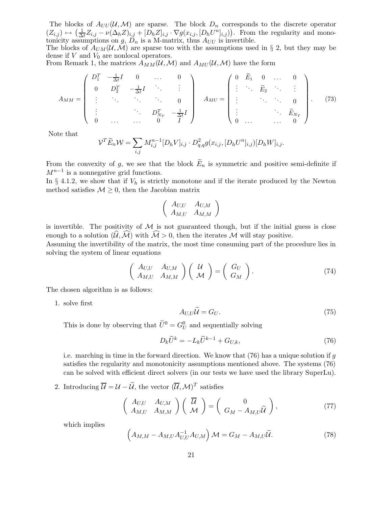The blocks of  $A_{UU}(U, \mathcal{M})$  are sparse. The block  $D_n$  corresponds to the discrete operator  $(Z_{i,j}) \mapsto \left(\frac{1}{\Delta}\right)$  $\frac{1}{\Delta t}Z_{i,j} - \nu(\Delta_h Z)_{i,j} + [D_h Z]_{i,j} \cdot \nabla g(x_{i,j}, [D_h U^n]_{i,j})$ . From the regularity and monotonicity assumptions on  $g, D_n$  is a M-matrix, thus  $A_{UU}$  is invertible.

The blocks of  $A_{UM}(\mathcal{U}, \mathcal{M})$  are sparse too with the assumptions used in § 2, but they may be dense if  $V$  and  $V_0$  are nonlocal operators.

From Remark 1, the matrices  $A_{MM}(\mathcal{U}, \mathcal{M})$  and  $A_{MU}(\mathcal{U}, \mathcal{M})$  have the form

$$
A_{MM} = \begin{pmatrix} D_1^T & -\frac{1}{\Delta t}I & 0 & \dots & 0 \\ 0 & D_2^T & -\frac{1}{\Delta t}I & \ddots & \vdots \\ \vdots & \ddots & \ddots & \ddots & 0 \\ \vdots & & \ddots & D_{N_T}^T & -\frac{1}{\Delta t}I \\ 0 & \dots & \dots & 0 & I \end{pmatrix} A_{MU} = \begin{pmatrix} 0 & \widetilde{E}_1 & 0 & \dots & 0 \\ \vdots & \ddots & \widetilde{E}_2 & \ddots & \vdots \\ \vdots & & \ddots & \ddots & 0 \\ \vdots & & \ddots & \widetilde{E}_{N_T} \\ 0 & \dots & \dots & 0 \end{pmatrix} . \quad (73)
$$

Note that

$$
\mathcal{V}^T \widetilde{E}_n \mathcal{W} = \sum_{i,j} M_{i,j}^{n-1} [D_h V]_{i,j} \cdot D_{q,q}^2 g(x_{i,j}, [D_h U^n]_{i,j}) [D_h W]_{i,j}.
$$

From the convexity of g, we see that the block  $\widetilde{E}_n$  is symmetric and positive semi-definite if  $M^{n-1}$  is a nonnegative grid functions.

In § 4.1.2, we show that if  $V_h$  is strictly monotone and if the iterate produced by the Newton method satisfies  $M \geq 0$ , then the Jacobian matrix

$$
\left(\begin{array}{cc} A_{U,U} & A_{U,M} \\ A_{M,U} & A_{M,M} \end{array}\right)
$$

is invertible. The positivity of  $\mathcal M$  is not guaranteed though, but if the initial guess is close enough to a solution  $(\mathcal{U},\mathcal{M})$  with  $\mathcal{M}>0$ , then the iterates M will stay positive.

Assuming the invertibility of the matrix, the most time consuming part of the procedure lies in solving the system of linear equations

$$
\begin{pmatrix} A_{U,U} & A_{U,M} \\ A_{M,U} & A_{M,M} \end{pmatrix} \begin{pmatrix} U \\ \mathcal{M} \end{pmatrix} = \begin{pmatrix} G_U \\ G_M \end{pmatrix}.
$$
 (74)

The chosen algorithm is as follows:

1. solve first

$$
A_{U,U}\tilde{\mathcal{U}} = G_U. \tag{75}
$$

This is done by observing that  $\tilde{U}^0 = G_U^0$  and sequentially solving

$$
D_k \widetilde{U}^k = -L_k \widetilde{U}^{k-1} + G_{U,k},\tag{76}
$$

i.e. marching in time in the forward direction. We know that  $(76)$  has a unique solution if g satisfies the regularity and monotonicity assumptions mentioned above. The systems (76) can be solved with efficient direct solvers (in our tests we have used the library SuperLu).

2. Introducing  $\overline{\mathcal{U}} = \mathcal{U} - \mathcal{U}$ , the vector  $(\overline{\mathcal{U}}, \mathcal{M})^T$  satisfies

$$
\begin{pmatrix} A_{U,U} & A_{U,M} \\ A_{M,U} & A_{M,M} \end{pmatrix} \begin{pmatrix} \overline{\mathcal{U}} \\ \mathcal{M} \end{pmatrix} = \begin{pmatrix} 0 \\ G_M - A_{M,U} \widetilde{\mathcal{U}} \end{pmatrix}, \tag{77}
$$

which implies

$$
\left(A_{M,M} - A_{M,U} A_{U,U}^{-1} A_{U,M}\right) \mathcal{M} = G_M - A_{M,U} \widetilde{\mathcal{U}}.
$$
\n(78)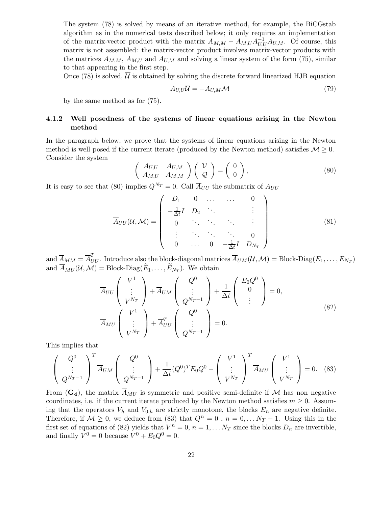The system (78) is solved by means of an iterative method, for example, the BiCGstab algorithm as in the numerical tests described below; it only requires an implementation of the matrix-vector product with the matrix  $A_{M,M} - A_{M,U} A_{U,U}^{-1} A_{U,M}$ . Of course, this matrix is not assembled: the matrix-vector product involves matrix-vector products with the matrices  $A_{M,M}$ ,  $A_{M,U}$  and  $A_{U,M}$  and solving a linear system of the form (75), similar to that appearing in the first step.

Once (78) is solved,  $\overline{U}$  is obtained by solving the discrete forward linearized HJB equation

$$
A_{U,U}\overline{U} = -A_{U,M}\mathcal{M}
$$
\n(79)

by the same method as for (75).

### 4.1.2 Well posedness of the systems of linear equations arising in the Newton method

In the paragraph below, we prove that the systems of linear equations arising in the Newton method is well posed if the current iterate (produced by the Newton method) satisfies  $M \geq 0$ . Consider the system

$$
\begin{pmatrix}\nA_{U,U} & A_{U,M} \\
A_{M,U} & A_{M,M}\n\end{pmatrix}\n\begin{pmatrix}\nV \\
Q\n\end{pmatrix} =\n\begin{pmatrix}\n0 \\
0\n\end{pmatrix},
$$
\n(80)

It is easy to see that (80) implies  $Q^{N_T} = 0$ . Call  $\overline{A}_{UU}$  the submatrix of  $A_{UU}$ 

$$
\overline{A}_{UU}(\mathcal{U},\mathcal{M}) = \begin{pmatrix} D_1 & 0 & \dots & \dots & 0 \\ -\frac{1}{\Delta t}I & D_2 & \ddots & & \vdots \\ 0 & \ddots & \ddots & \ddots & \vdots \\ \vdots & \ddots & \ddots & \ddots & 0 \\ 0 & \dots & 0 & -\frac{1}{\Delta t}I & D_{N_T} \end{pmatrix}
$$
(81)

 $\overline{A}_{MM} = \overline{A}_{UU}^T$ . Introduce also the block-diagonal matrices  $\overline{A}_{UM}(\mathcal{U}, \mathcal{M}) = \mathrm{Block\text{-}Diag}(E_1, \dots, E_{N_T})$ and  $A_{MU}(\mathcal{U}, \mathcal{M}) = \text{Block-Diag}(E_1, \dots, E_{N_T})$ . We obtain

$$
\overline{A}_{UU}\begin{pmatrix} V^1 \\ \vdots \\ V^{N_T} \end{pmatrix} + \overline{A}_{UM}\begin{pmatrix} Q^0 \\ \vdots \\ Q^{N_T-1} \end{pmatrix} + \frac{1}{\Delta t} \begin{pmatrix} E_0 Q^0 \\ 0 \\ \vdots \end{pmatrix} = 0,
$$
\n
$$
\overline{A}_{MU}\begin{pmatrix} V^1 \\ \vdots \\ V^{N_T} \end{pmatrix} + \overline{A}_{UU}^T \begin{pmatrix} Q^0 \\ \vdots \\ Q^{N_T-1} \end{pmatrix} = 0.
$$
\n(82)

This implies that

$$
\begin{pmatrix} Q^0 \\ \vdots \\ Q^{N_T-1} \end{pmatrix}^T \overline{A}_{UM} \begin{pmatrix} Q^0 \\ \vdots \\ Q^{N_T-1} \end{pmatrix} + \frac{1}{\Delta t} (Q^0)^T E_0 Q^0 - \begin{pmatrix} V^1 \\ \vdots \\ V^{N_T} \end{pmatrix}^T \overline{A}_{MU} \begin{pmatrix} V^1 \\ \vdots \\ V^{N_T} \end{pmatrix} = 0. \quad (83)
$$

From  $(G_4)$ , the matrix  $A_{MU}$  is symmetric and positive semi-definite if M has non negative coordinates, i.e. if the current iterate produced by the Newton method satisfies  $m \geq 0$ . Assuming that the operators  $V_h$  and  $V_{0,h}$  are strictly monotone, the blocks  $E_n$  are negative definite. Therefore, if  $M \geq 0$ , we deduce from (83) that  $Q^n = 0$ ,  $n = 0, \ldots N_T - 1$ . Using this in the first set of equations of (82) yields that  $V^n = 0$ ,  $n = 1, \ldots N_T$  since the blocks  $D_n$  are invertible, and finally  $V^0 = 0$  because  $V^0 + E_0 Q^0 = 0$ .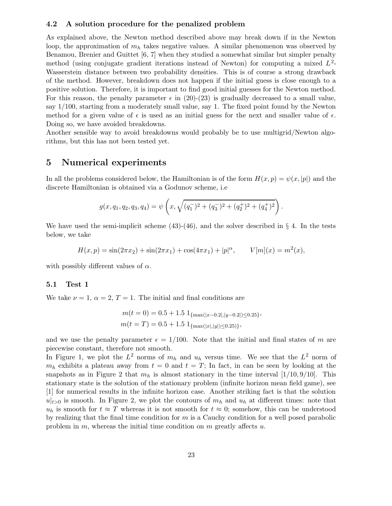#### 4.2 A solution procedure for the penalized problem

As explained above, the Newton method described above may break down if in the Newton loop, the approximation of  $m_h$  takes negative values. A similar phenomenon was observed by Benamou, Brenier and Guittet [6, 7] when they studied a somewhat similar but simpler penalty method (using conjugate gradient iterations instead of Newton) for computing a mixed  $L^2$ -Wasserstein distance between two probability densities. This is of course a strong drawback of the method. However, breakdown does not happen if the initial guess is close enough to a positive solution. Therefore, it is important to find good initial guesses for the Newton method. For this reason, the penalty parameter  $\epsilon$  in (20)-(23) is gradually decreased to a small value, say 1/100, starting from a moderately small value, say 1. The fixed point found by the Newton method for a given value of  $\epsilon$  is used as an initial guess for the next and smaller value of  $\epsilon$ . Doing so, we have avoided breakdowns.

Another sensible way to avoid breakdowns would probably be to use multigrid/Newton algorithms, but this has not been tested yet.

## 5 Numerical experiments

In all the problems considered below, the Hamiltonian is of the form  $H(x, p) = \psi(x, |p|)$  and the discrete Hamiltonian is obtained via a Godunov scheme, i.e

$$
g(x, q_1, q_2, q_3, q_4) = \psi\left(x, \sqrt{(q_1^-)^2 + (q_3^-)^2 + (q_2^+)^2 + (q_4^+)^2}\right).
$$

We have used the semi-implicit scheme  $(43)-(46)$ , and the solver described in § 4. In the tests below, we take

$$
H(x,p) = \sin(2\pi x_2) + \sin(2\pi x_1) + \cos(4\pi x_1) + |p|^\alpha, \qquad V[m](x) = m^2(x),
$$

with possibly different values of  $\alpha$ .

#### 5.1 Test 1

We take  $\nu = 1, \alpha = 2, T = 1$ . The initial and final conditions are

$$
m(t = 0) = 0.5 + 1.5 \, 1_{\{\max(|x - 0.2|, |y - 0.2|) \le 0.25\}},
$$
  

$$
m(t = T) = 0.5 + 1.5 \, 1_{\{\max(|x|, |y|) \le 0.25\}},
$$

and we use the penalty parameter  $\epsilon = 1/100$ . Note that the initial and final states of m are piecewise constant, therefore not smooth.

In Figure 1, we plot the  $L^2$  norms of  $m_h$  and  $u_h$  versus time. We see that the  $L^2$  norm of  $m_h$  exhibits a plateau away from  $t = 0$  and  $t = T$ ; In fact, in can be seen by looking at the snapshots as in Figure 2 that  $m_h$  is almost stationary in the time interval [1/10, 9/10]. This stationary state is the solution of the stationary problem (infinite horizon mean field game), see [1] for numerical results in the infinite horizon case. Another striking fact is that the solution  $u|_{t>0}$  is smooth. In Figure 2, we plot the contours of  $m_h$  and  $u_h$  at different times: note that  $u_h$  is smooth for  $t \approx T$  whereas it is not smooth for  $t \approx 0$ ; somehow, this can be understood by realizing that the final time condition for  $m$  is a Cauchy condition for a well posed parabolic problem in m, whereas the initial time condition on m greatly affects  $u$ .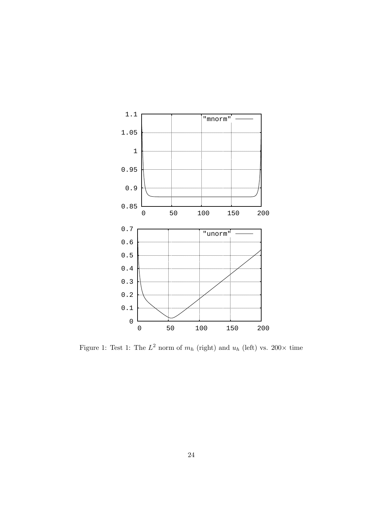

Figure 1: Test 1: The  $L^2$  norm of  $m_h$  (right) and  $u_h$  (left) vs. 200 $\times$  time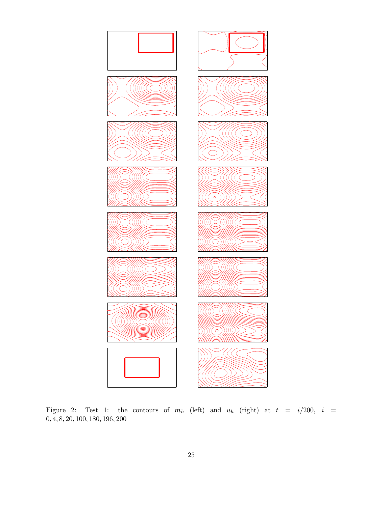

Figure 2: Test 1: the contours of  $m_h$  (left) and  $u_h$  (right) at  $t = i/200$ ,  $i =$ , 4, 8, 20, 100, 180, 196, 200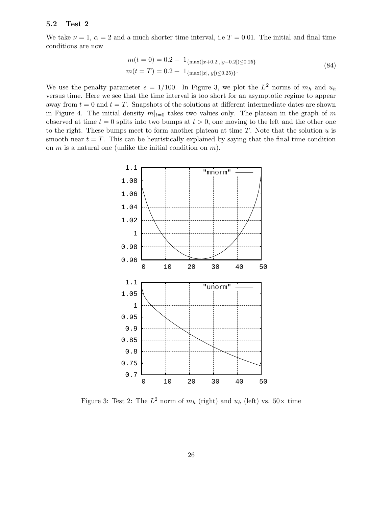#### 5.2 Test 2

We take  $\nu = 1, \alpha = 2$  and a much shorter time interval, i.e  $T = 0.01$ . The initial and final time conditions are now

$$
m(t = 0) = 0.2 + 1_{\{\max(|x+0.2|, |y-0.2|) \le 0.25\}}
$$
  
\n
$$
m(t = T) = 0.2 + 1_{\{\max(|x|, |y|) \le 0.25\}}.
$$
\n(84)

We use the penalty parameter  $\epsilon = 1/100$ . In Figure 3, we plot the  $L^2$  norms of  $m_h$  and  $u_h$ versus time. Here we see that the time interval is too short for an asymptotic regime to appear away from  $t = 0$  and  $t = T$ . Snapshots of the solutions at different intermediate dates are shown in Figure 4. The initial density  $m|_{t=0}$  takes two values only. The plateau in the graph of m observed at time  $t = 0$  splits into two bumps at  $t > 0$ , one moving to the left and the other one to the right. These bumps meet to form another plateau at time  $T$ . Note that the solution  $u$  is smooth near  $t = T$ . This can be heuristically explained by saying that the final time condition on  $m$  is a natural one (unlike the initial condition on  $m$ ).



Figure 3: Test 2: The  $L^2$  norm of  $m_h$  (right) and  $u_h$  (left) vs.  $50 \times$  time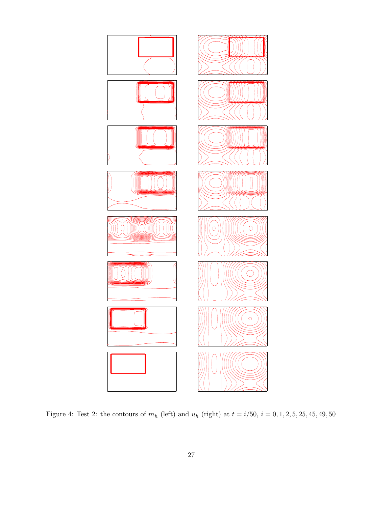

Figure 4: Test 2: the contours of  $m_h$  (left) and  $u_h$  (right) at  $t = i/50$ ,  $i = 0, 1, 2, 5, 25, 45, 49, 50$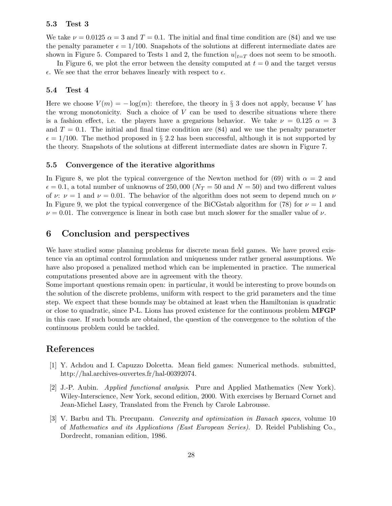#### 5.3 Test 3

We take  $\nu = 0.0125$   $\alpha = 3$  and  $T = 0.1$ . The initial and final time condition are (84) and we use the penalty parameter  $\epsilon = 1/100$ . Snapshots of the solutions at different intermediate dates are shown in Figure 5. Compared to Tests 1 and 2, the function  $u|_{t=T}$  does not seem to be smooth.

In Figure 6, we plot the error between the density computed at  $t = 0$  and the target versus  $\epsilon$ . We see that the error behaves linearly with respect to  $\epsilon$ .

#### 5.4 Test 4

Here we choose  $V(m) = -\log(m)$ : therefore, the theory in § 3 does not apply, because V has the wrong monotonicity. Such a choice of  $V$  can be used to describe situations where there is a fashion effect, i.e. the players have a gregarious behavior. We take  $\nu = 0.125$   $\alpha = 3$ and  $T = 0.1$ . The initial and final time condition are  $(84)$  and we use the penalty parameter  $\epsilon = 1/100$ . The method proposed in § 2.2 has been successful, although it is not supported by the theory. Snapshots of the solutions at different intermediate dates are shown in Figure 7.

#### 5.5 Convergence of the iterative algorithms

In Figure 8, we plot the typical convergence of the Newton method for (69) with  $\alpha = 2$  and  $\epsilon = 0.1$ , a total number of unknowns of 250,000 ( $N_T = 50$  and  $N = 50$ ) and two different values of  $\nu: \nu = 1$  and  $\nu = 0.01$ . The behavior of the algorithm does not seem to depend much on  $\nu$ In Figure 9, we plot the typical convergence of the BiCGstab algorithm for (78) for  $\nu = 1$  and  $\nu = 0.01$ . The convergence is linear in both case but much slower for the smaller value of  $\nu$ .

## 6 Conclusion and perspectives

We have studied some planning problems for discrete mean field games. We have proved existence via an optimal control formulation and uniqueness under rather general assumptions. We have also proposed a penalized method which can be implemented in practice. The numerical computations presented above are in agreement with the theory.

Some important questions remain open: in particular, it would be interesting to prove bounds on the solution of the discrete problems, uniform with respect to the grid parameters and the time step. We expect that these bounds may be obtained at least when the Hamiltonian is quadratic or close to quadratic, since P-L. Lions has proved existence for the continuous problem MFGP in this case. If such bounds are obtained, the question of the convergence to the solution of the continuous problem could be tackled.

## References

- [1] Y. Achdou and I. Capuzzo Dolcetta. Mean field games: Numerical methods. submitted, http://hal.archives-ouvertes.fr/hal-00392074.
- [2] J.-P. Aubin. Applied functional analysis. Pure and Applied Mathematics (New York). Wiley-Interscience, New York, second edition, 2000. With exercises by Bernard Cornet and Jean-Michel Lasry, Translated from the French by Carole Labrousse.
- [3] V. Barbu and Th. Precupanu. Convexity and optimization in Banach spaces, volume 10 of Mathematics and its Applications (East European Series). D. Reidel Publishing Co., Dordrecht, romanian edition, 1986.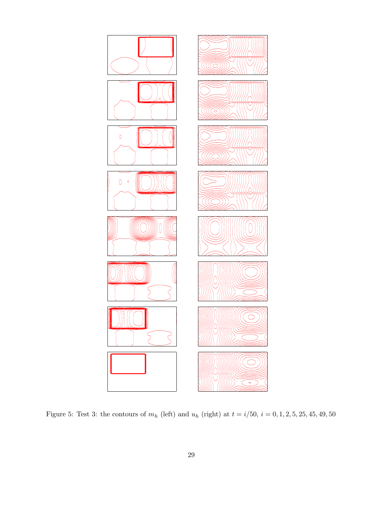

Figure 5: Test 3: the contours of  $m_h$  (left) and  $u_h$  (right) at  $t = i/50$ ,  $i = 0, 1, 2, 5, 25, 45, 49, 50$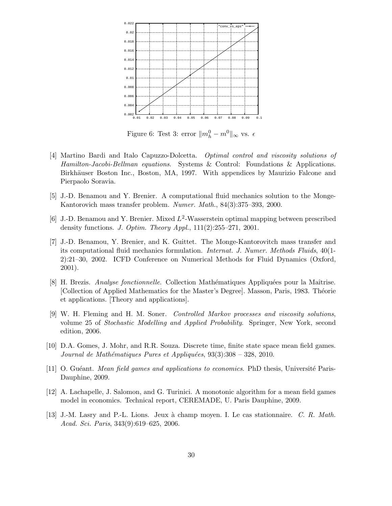

Figure 6: Test 3: error  $||m_h^0 - m^0||_{\infty}$  vs.  $\epsilon$ 

- [4] Martino Bardi and Italo Capuzzo-Dolcetta. Optimal control and viscosity solutions of Hamilton-Jacobi-Bellman equations. Systems & Control: Foundations & Applications. Birkhäuser Boston Inc., Boston, MA, 1997. With appendices by Maurizio Falcone and Pierpaolo Soravia.
- [5] J.-D. Benamou and Y. Brenier. A computational fluid mechanics solution to the Monge-Kantorovich mass transfer problem. Numer. Math., 84(3):375–393, 2000.
- [6] J.-D. Benamou and Y. Brenier. Mixed  $L^2$ -Wasserstein optimal mapping between prescribed density functions. J. Optim. Theory Appl., 111(2):255–271, 2001.
- [7] J.-D. Benamou, Y. Brenier, and K. Guittet. The Monge-Kantorovitch mass transfer and its computational fluid mechanics formulation. Internat. J. Numer. Methods Fluids, 40(1- 2):21–30, 2002. ICFD Conference on Numerical Methods for Fluid Dynamics (Oxford, 2001).
- [8] H. Brezis. *Analyse fonctionnelle*. Collection Mathématiques Appliquées pour la Maîtrise. [Collection of Applied Mathematics for the Master's Degree]. Masson, Paris, 1983. Théorie et applications. [Theory and applications].
- [9] W. H. Fleming and H. M. Soner. Controlled Markov processes and viscosity solutions, volume 25 of Stochastic Modelling and Applied Probability. Springer, New York, second edition, 2006.
- [10] D.A. Gomes, J. Mohr, and R.R. Souza. Discrete time, finite state space mean field games. Journal de Mathématiques Pures et Appliquées,  $93(3):308 - 328$ , 2010.
- [11] O. Guéant. *Mean field games and applications to economics*. PhD thesis, Université Paris-Dauphine, 2009.
- [12] A. Lachapelle, J. Salomon, and G. Turinici. A monotonic algorithm for a mean field games model in economics. Technical report, CEREMADE, U. Paris Dauphine, 2009.
- [13] J.-M. Lasry and P.-L. Lions. Jeux a` champ moyen. I. Le cas stationnaire. C. R. Math. Acad. Sci. Paris, 343(9):619–625, 2006.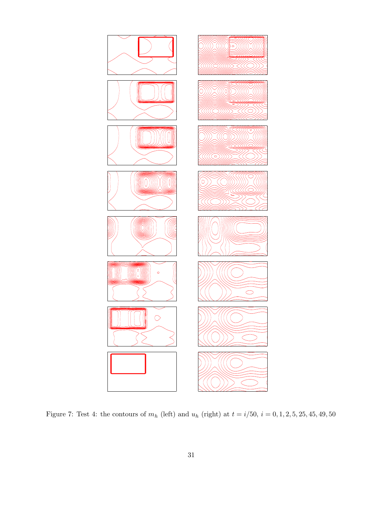

Figure 7: Test 4: the contours of  $m_h$  (left) and  $u_h$  (right) at  $t = i/50$ ,  $i = 0, 1, 2, 5, 25, 45, 49, 50$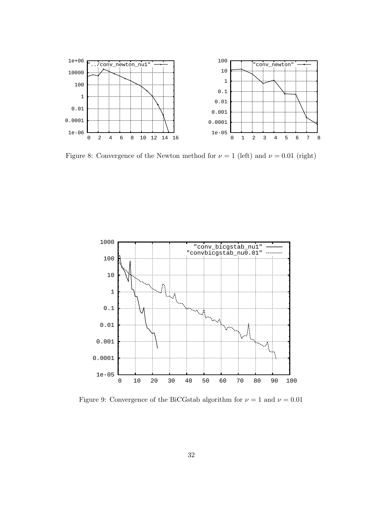

Figure 8: Convergence of the Newton method for  $\nu = 1$  (left) and  $\nu = 0.01$  (right)



Figure 9: Convergence of the BiCGstab algorithm for  $\nu=1$  and  $\nu=0.01$